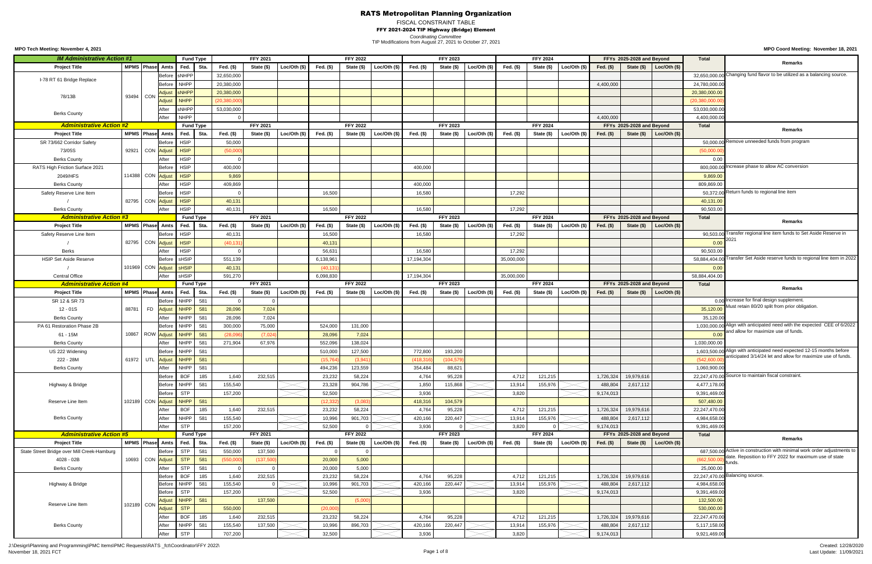FISCAL CONSTRAINT TABLE FFY 2021-2024 TIP Highway (Bridge) Element

*Coordinating Committee*

**MPO Coord Meeting: November 18, 2021**

J:\Design\Planning and Programming\PMC Items\PMC Requests\RATS \_fct\Coordinator\FFY 2022\ November 18, 2021 FCT Page 1 of 8

| <b>IM Administrative Action #1</b>          |            |                                 | <b>Fund Type</b> |      |               | <b>FFY 2021</b> |                |             | <b>FFY 2022</b> |                 |             | <b>FFY 2023</b> |                |             | <b>FFY 2024</b> |                |             | FFYs 2025-2028 and Beyond |                             | <b>Total</b>      |                                                                                                                                   |
|---------------------------------------------|------------|---------------------------------|------------------|------|---------------|-----------------|----------------|-------------|-----------------|-----------------|-------------|-----------------|----------------|-------------|-----------------|----------------|-------------|---------------------------|-----------------------------|-------------------|-----------------------------------------------------------------------------------------------------------------------------------|
| <b>Project Title</b>                        |            | MPMS Phase Amts                 | Fed. Sta.        |      | Fed. $(\$)$   | State (\$)      | Loc/Oh (\$)    | Fed. (\$)   | State (\$)      | Loc/Oth $($ \$) | Fed. (\$)   | State (\$)      | Loc/Oh (\$)    | Fed. $(\$)$ | State (\$)      | Loc/Oth $(\$)$ | Fed. $(\$)$ | State (\$)                | Loc/Oh (\$)                 |                   | <b>Remarks</b>                                                                                                                    |
|                                             |            | Before                          | <b>sNHPP</b>     |      | 32,650,000    |                 |                |             |                 |                 |             |                 |                |             |                 |                |             |                           |                             |                   | 32,650,000.00 Changing fund flavor to be utilized as a balancing source.                                                          |
| I-78 RT 61 Bridge Replace                   |            | Before                          | <b>NHPP</b>      |      | 20,380,000    |                 |                |             |                 |                 |             |                 |                |             |                 |                | 4,400,000   |                           |                             | 24,780,000.00     |                                                                                                                                   |
|                                             |            | <b>Adjust</b>                   | <b>sNHPP</b>     |      | 20,380,000    |                 |                |             |                 |                 |             |                 |                |             |                 |                |             |                           |                             | 20,380,000.00     |                                                                                                                                   |
| 78/13B                                      | 93494 CON  | <b>Adjust</b>                   | <b>NHPP</b>      |      | (20, 380, 00) |                 |                |             |                 |                 |             |                 |                |             |                 |                |             |                           |                             | (20, 380, 000.00) |                                                                                                                                   |
|                                             |            | After                           | sNHPP            |      | 53,030,000    |                 |                |             |                 |                 |             |                 |                |             |                 |                |             |                           |                             | 53,030,000.00     |                                                                                                                                   |
| <b>Berks County</b>                         |            | After                           | <b>NHPP</b>      |      |               |                 |                |             |                 |                 |             |                 |                |             |                 |                | 4,400,000   |                           |                             | 4,400,000.00      |                                                                                                                                   |
| <b>Administrative Action #2</b>             |            |                                 | <b>Fund Type</b> |      |               | <b>FFY 2021</b> |                |             | <b>FFY 2022</b> |                 |             | <b>FFY 2023</b> |                |             | <b>FFY 2024</b> |                |             | FFYs 2025-2028 and Beyond |                             | <b>Total</b>      |                                                                                                                                   |
| <b>Project Title</b>                        |            | MPMS Phase Amts                 | Fed.             | Sta. | Fed. $(\$)$   | State (\$)      | Loc/Oth $(\$)$ | Fed. $(\$)$ | State (\$)      | Loc/Oh (\$)     | Fed. $(\$)$ | State (\$)      | Loc/Oth $(\$)$ | Fed. $(\$)$ | State (\$)      | Loc/Oth $(\$)$ | Fed. $(\$)$ |                           | State $(\$)$ Loc/Oth $(\$)$ |                   | <b>Remarks</b>                                                                                                                    |
| SR 73/662 Corridor Safety                   |            | Before                          | <b>HSIP</b>      |      | 50,000        |                 |                |             |                 |                 |             |                 |                |             |                 |                |             |                           |                             |                   | 50,000.00 Remove unneeded funds from program                                                                                      |
|                                             |            |                                 |                  |      |               |                 |                |             |                 |                 |             |                 |                |             |                 |                |             |                           |                             |                   |                                                                                                                                   |
| 73/05S                                      | 92921      | CON Adjust                      | <b>HSIP</b>      |      | (50,000)      |                 |                |             |                 |                 |             |                 |                |             |                 |                |             |                           |                             | (50,000.00)       |                                                                                                                                   |
| <b>Berks County</b>                         |            |                                 | <b>HSIP</b>      |      |               |                 |                |             |                 |                 |             |                 |                |             |                 |                |             |                           |                             | 0.00              |                                                                                                                                   |
| RATS High Friction Surface 2021             |            | Before                          | <b>HSIP</b>      |      | 400,000       |                 |                |             |                 |                 | 400,000     |                 |                |             |                 |                |             |                           |                             |                   | 800,000.00 Increase phase to allow AC conversion                                                                                  |
| 2049/HFS                                    |            | 114388 CON Adjust               | <b>HSIP</b>      |      | 9,869         |                 |                |             |                 |                 |             |                 |                |             |                 |                |             |                           |                             | 9,869.00          |                                                                                                                                   |
| <b>Berks County</b>                         |            | After                           | <b>HSIP</b>      |      | 409,869       |                 |                |             |                 |                 | 400,000     |                 |                |             |                 |                |             |                           |                             | 809,869.00        |                                                                                                                                   |
| Safety Reserve Line Item                    |            | Before                          | <b>HSIP</b>      |      |               |                 |                | 16,500      |                 |                 | 16,580      |                 |                | 17,292      |                 |                |             |                           |                             |                   | 50,372.00 Return funds to regional line item                                                                                      |
|                                             |            | 82795 CON Adjust                | <b>HSIP</b>      |      | 40,131        |                 |                |             |                 |                 |             |                 |                |             |                 |                |             |                           |                             | 40,131.00         |                                                                                                                                   |
| <b>Berks County</b>                         |            | After                           | <b>HSIP</b>      |      | 40,131        |                 |                | 16,500      |                 |                 | 16,580      |                 |                | 17,292      |                 |                |             |                           |                             | 90,503.00         |                                                                                                                                   |
| <b>Administrative Action #3</b>             |            |                                 | <b>Fund Type</b> |      |               | <b>FFY 2021</b> |                |             | <b>FFY 2022</b> |                 |             | <b>FFY 2023</b> |                |             | <b>FFY 2024</b> |                |             | FFYs 2025-2028 and Beyond |                             | <b>Total</b>      | Remarks                                                                                                                           |
| <b>Project Title</b>                        |            | MPMS Phase Amts                 | Fed. $\vert$     | Sta. | Fed. (\$)     | State (\$)      | Loc/Oh (\$)    | Fed. (\$)   | State (\$)      | Loc/Oth (\$)    | Fed. $(\$)$ | State (\$)      | Loc/Oth $(\$)$ | Fed. $(\$)$ | State (\$)      | Loc/Oh (\$)    | Fed. (\$)   | State (\$)                | $\vert$ Loc/Oth (\$)        |                   |                                                                                                                                   |
| Safety Reserve Line Item                    |            | <b>Before</b>                   | <b>HSIP</b>      |      | 40,131        |                 |                | 16,500      |                 |                 | 16,580      |                 |                | 17,292      |                 |                |             |                           |                             |                   | 90,503.00 Transfer regional line item funds to Set Aside Reserve in                                                               |
|                                             |            | 82795 CON Adjust                | <b>HSIP</b>      |      | (40, 13)      |                 |                | 40,131      |                 |                 |             |                 |                |             |                 |                |             |                           |                             | 0.00              |                                                                                                                                   |
| <b>Berks</b>                                |            |                                 | <b>HSIP</b>      |      |               |                 |                | 56,631      |                 |                 | 16,580      |                 |                | 17,292      |                 |                |             |                           |                             | 90,503.00         |                                                                                                                                   |
| <b>HSIP Set Aside Reserve</b>               |            | <b>Before</b>                   | sHSIP            |      | 551,139       |                 |                | 6,138,961   |                 |                 | 17,194,304  |                 |                | 35,000,000  |                 |                |             |                           |                             |                   | 58,884,404.00 Transfer Set Aside reserve funds to regional line item in 2022                                                      |
|                                             |            | 101969 CON Adjust               | sHSIP            |      | 40,131        |                 |                | (40, 131)   |                 |                 |             |                 |                |             |                 |                |             |                           |                             | 0.00              |                                                                                                                                   |
| <b>Central Office</b>                       |            | After                           | sHSIP            |      | 591,270       |                 |                | 6,098,830   |                 |                 | 17,194,304  |                 |                | 35,000,000  |                 |                |             |                           |                             | 58,884,404.00     |                                                                                                                                   |
| <b>Administrative Action #4</b>             |            |                                 | <b>Fund Type</b> |      |               | <b>FFY 2021</b> |                |             | <b>FFY 2022</b> |                 |             | <b>FFY 2023</b> |                |             | <b>FFY 2024</b> |                |             | FFYs 2025-2028 and Beyond |                             | <b>Total</b>      |                                                                                                                                   |
| <b>Project Title</b>                        |            | <b>MPMS Phase Amts</b>          | Fed.             | Sta. | Fed. (\$)     | State (\$)      | Loc/Oth $(\$)$ | Fed. (\$)   | State (\$)      | Loc/Oh (\$)     | Fed. (\$)   | State (\$)      | Loc/Oth $(\$)$ | Fed. $(\$)$ | State (\$)      | Loc/Oth $(\$)$ | Fed. $(\$)$ |                           | State $(\$)$ Loc/Oth $(\$)$ |                   | <b>Remarks</b>                                                                                                                    |
| SR 12 & SR 73                               |            | <b>Before</b>                   | NHPP             | 581  |               |                 |                |             |                 |                 |             |                 |                |             |                 |                |             |                           |                             |                   | 0.00 Increase for final design supplement.                                                                                        |
| 12 - 01S                                    | 88781      | FD Adjust                       | NHPP             | 581  | 28,096        | 7,024           |                |             |                 |                 |             |                 |                |             |                 |                |             |                           |                             | 35,120.00         | Must retain 80/20 split from prior obligation.                                                                                    |
| <b>Berks County</b>                         |            | After                           | NHPP             | 581  | 28,096        | 7,024           |                |             |                 |                 |             |                 |                |             |                 |                |             |                           |                             | 35,120.00         |                                                                                                                                   |
| PA 61 Restoration Phase 2B                  |            | Before                          | NHPP             | 581  | 300,000       | 75,000          |                | 524,000     | 131,000         |                 |             |                 |                |             |                 |                |             |                           |                             |                   | 1,030,000.00 Align with anticipated need with the expected CEE of 6/2022                                                          |
| 61 - 15M                                    |            | 10867 ROW Adjust                | NHPP             | 581  | (28,096)      | (7,024)         |                | 28,096      | 7,024           |                 |             |                 |                |             |                 |                |             |                           |                             | 0.00              | and allow for maximize use of funds.                                                                                              |
| <b>Berks County</b>                         |            | After                           | NHPP             | 581  | 271,904       | 67,976          |                | 552,096     | 138,024         |                 |             |                 |                |             |                 |                |             |                           |                             | 1,030,000.00      |                                                                                                                                   |
| US 222 Widening                             |            | Before                          | NHPP             | 581  |               |                 |                | 510,000     | 127,500         |                 | 772,800     | 193,200         |                |             |                 |                |             |                           |                             |                   | 1,603,500.00 Align with anticipated need expected 12-15 months before                                                             |
| 222 - 28M                                   |            |                                 | NHPP             | 581  |               |                 |                | (15, 764)   | (3,941)         |                 | (418, 316)  | (104, 579)      |                |             |                 |                |             |                           |                             | (542,600.00)      | anticipated 3/14/24 let and allow for maximize use of funds.                                                                      |
|                                             |            | 61972   UTL <mark>Adjust</mark> | NHPP             |      |               |                 |                |             | 123,559         |                 |             |                 |                |             |                 |                |             |                           |                             |                   |                                                                                                                                   |
| <b>Berks County</b>                         |            | After                           |                  | 581  |               |                 |                | 494,236     |                 |                 | 354,484     | 88,621          |                |             |                 |                |             |                           |                             | 1,060,900.0       | 22,247,470.00 Source to maintain fiscal constraint.                                                                               |
|                                             |            | Before                          | <b>BOF</b>       | 185  | 1,640         | 232,515         |                | 23,232      | 58,224          |                 | 4,764       | 95,228          |                | 4,712       | 121,215         |                | 1,726,324   | 19,979,616                |                             |                   |                                                                                                                                   |
| Highway & Bridge                            |            | <b>Before</b>                   | NHPP             | 581  | 155,540       |                 |                | 23,328      | 904,786         |                 | 1,850       | 115,868         |                | 13,914      | 155,976         |                | 488,804     | 2,617,112                 |                             | 4,477,178.00      |                                                                                                                                   |
|                                             |            | <b>Before</b>                   | <b>STP</b>       |      | 157,200       |                 |                | 52,500      |                 |                 | 3,936       |                 |                | 3,820       |                 |                | 9,174,013   |                           |                             | 9,391,469.00      |                                                                                                                                   |
| Reserve Line Item                           |            | 102189 CON Adjust               | NHPP             | 581  |               |                 |                | (12, 332)   | (3.083)         |                 | 418,316     | 104,579         |                |             |                 |                |             |                           |                             | 507,480.00        |                                                                                                                                   |
|                                             |            | After                           | <b>BOF</b>       | 185  | 1,640         | 232,515         |                | 23,232      | 58,224          |                 | 4,764       | 95,228          |                | 4,712       | 121,215         |                | 1,726,324   | 19,979,616                |                             | 22,247,470.00     |                                                                                                                                   |
| <b>Berks County</b>                         |            | After                           | NHPP             | 581  | 155,540       |                 |                | 10,996      | 901,703         |                 | 420,166     | 220,447         |                | 13,914      | 155,976         |                | 488,804     | 2,617,112                 |                             | 4,984,658.00      |                                                                                                                                   |
|                                             |            | After                           | <b>STP</b>       |      | 157,200       |                 |                | 52,500      |                 |                 | 3,936       |                 |                | 3,820       |                 |                | 9,174,013   |                           |                             | 9,391,469.00      |                                                                                                                                   |
| <b>Administrative Action #5</b>             |            |                                 | <b>Fund Type</b> |      |               | <b>FFY 2021</b> |                |             | <b>FFY 2022</b> |                 |             | <b>FFY 2023</b> |                |             | <b>FFY 2024</b> |                |             | FFYs 2025-2028 and Beyond |                             | <b>Total</b>      | <b>Remarks</b>                                                                                                                    |
| <b>Project Title</b>                        |            | <b>MPMS Phase Amts</b>          | Fed.             | Sta. | Fed. $(\$)$   | State (\$)      | Loc/Oh (\$)    | Fed. (\$)   | State (\$)      | Loc/Oth (\$)    | Fed. $(\$)$ | State (\$)      | Loc/Oth $(\$)$ | Fed. $(\$)$ | State (\$)      | Loc/Oth $(\$)$ | Fed. $(\$)$ | State (\$)                | Loc/Oth $($ \$)             |                   |                                                                                                                                   |
| State Street Bridge over Mill Creek-Hamburg |            | Before                          | <b>STP</b>       | 581  | 550,000       | 137,500         |                |             |                 |                 |             |                 |                |             |                 |                |             |                           |                             |                   | 687,500.00 Active in construction with minimal work order adjustments to<br>date. Reposition to FFY 2022 for maximum use of state |
| 4028 - 02B                                  |            | 10693 CON Adjust                | <b>STP</b>       | 581  | (550,000)     | (137, 500)      |                | 20,000      | 5,000           |                 |             |                 |                |             |                 |                |             |                           |                             | (662, 500)        | unds.                                                                                                                             |
| <b>Berks County</b>                         |            | After                           | <b>STP</b>       | 581  |               |                 |                | 20,000      | 5,000           |                 |             |                 |                |             |                 |                |             |                           |                             | 25,000.00         |                                                                                                                                   |
|                                             |            | Before                          | <b>BOF</b>       | 185  | 1,640         | 232,515         |                | 23,232      | 58,224          |                 | 4,764       | 95,228          |                | 4,712       | 121,215         |                | 1,726,324   | 19,979,616                |                             |                   | 22,247,470.00 Balancing source.                                                                                                   |
| Highway & Bridge                            |            |                                 | Before NHPP 581  |      | 155,540       |                 |                | 10,996      | 901,703         |                 | 420,166     | 220,447         |                | 13,914      | 155,976         |                |             | 488,804 2,617,112         |                             | 4,984,658.00      |                                                                                                                                   |
|                                             |            | <b>Before</b>                   | <b>STP</b>       |      | 157,200       |                 |                | 52,500      |                 |                 | 3,936       |                 |                | 3,820       |                 |                | 9,174,013   |                           |                             | 9,391,469.00      |                                                                                                                                   |
| Reserve Line Item                           | 102189 CON | Adjust                          | NHPP 581         |      |               | 137,500         |                |             | (5,000)         |                 |             |                 |                |             |                 |                |             |                           |                             | 132,500.00        |                                                                                                                                   |
|                                             |            | Adjust                          | <b>STP</b>       |      | 550,000       |                 |                | (20,000)    |                 |                 |             |                 |                |             |                 |                |             |                           |                             | 530,000.00        |                                                                                                                                   |
|                                             |            | After                           | <b>BOF</b>       | 185  | 1,640         | 232,515         |                | 23,232      | 58,224          |                 | 4,764       | 95,228          |                | 4,712       | 121,215         |                | 1,726,324   | 19,979,616                |                             | 22,247,470.00     |                                                                                                                                   |
| <b>Berks County</b>                         |            | After                           | NHPP             | 581  | 155,540       | 137,500         |                | 10,996      | 896,703         |                 | 420,166     | 220,447         |                | 13,914      | 155,976         |                | 488,804     | 2,617,112                 |                             | 5,117,158.00      |                                                                                                                                   |
|                                             |            | After                           | <b>STP</b>       |      | 707,200       |                 |                | 32,500      |                 |                 | 3,936       |                 |                | 3,820       |                 |                | 9,174,013   |                           |                             | 9,921,469.00      |                                                                                                                                   |

TIP Modifications from August 27, 2021 to October 27, 2021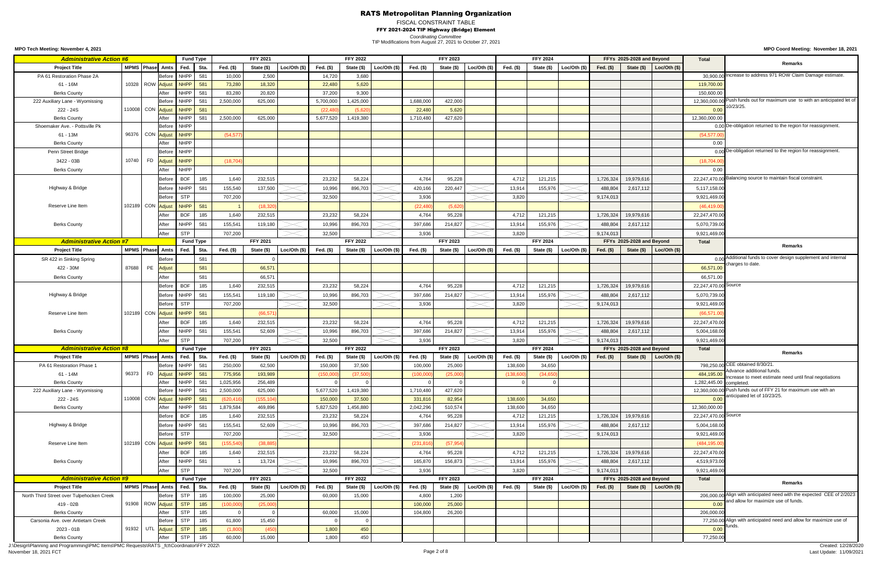## FISCAL CONSTRAINT TABLE

FFY 2021-2024 TIP Highway (Bridge) Element

*Coordinating Committee*

**MPO Coord Meeting: November 18, 2021**

TIP Modifications from August 27, 2021 to October 27, 2021

**MPO Tech Meeting: November 4, 2021**

J:\Design\Planning and Programming\PMC Items\PMC Requests\RATS \_fct\Coordinator\FFY 2022\ November 18, 2021 FCT Page 2 of 8

| <b>Administrative Action #6</b>           |       |                   |                                        | <b>Fund Type</b>                       |                   | <b>FFY 2021</b> |               |                | <b>FFY 2022</b> |                             |            | <b>FFY 2023</b> |                |           | <b>FFY 2024</b> |                             |             | FFYs 2025-2028 and Beyond |                      | <b>Total</b>            |                                                                              |
|-------------------------------------------|-------|-------------------|----------------------------------------|----------------------------------------|-------------------|-----------------|---------------|----------------|-----------------|-----------------------------|------------|-----------------|----------------|-----------|-----------------|-----------------------------|-------------|---------------------------|----------------------|-------------------------|------------------------------------------------------------------------------|
| <b>Project Title</b>                      |       |                   | MPMS Phase Amts                        | Fed.<br>Sta                            | Fed. $(\$)$       | State (\$)      | Loc/Oth $(s)$ | Fed. (\$)      | State (\$)      | Loc/Oth $($)$               | Fed. (\$)  | State (\$)      | Loc/Oth $(s)$  | Fed. (\$) | State (\$)      | Loc/Oh (\$)                 | Fed. $(\$)$ | State (\$)                | Loc/Oth $(\$)$       |                         | <b>Remarks</b>                                                               |
| PA 61 Restoration Phase 2A                |       |                   | <b>Before</b>                          | <b>NHPP</b><br>581                     | 10,000            | 2,500           |               | 14,720         | 3,680           |                             |            |                 |                |           |                 |                             |             |                           |                      |                         | 30,900.00 Increase to address 971 ROW Claim Damage estimate.                 |
| 61 - 16M                                  |       |                   | 10328   ROW <mark>Adjust</mark>        | <b>NHPP</b><br>581                     | 73,280            | 18,320          |               | 22,480         | 5,620           |                             |            |                 |                |           |                 |                             |             |                           |                      | 119,700.00              |                                                                              |
| <b>Berks County</b>                       |       |                   | After                                  | <b>NHPP</b><br>581                     | 83,280            | 20,820          |               | 37,200         | 9,300           |                             |            |                 |                |           |                 |                             |             |                           |                      | 150,600.00              |                                                                              |
| 222 Auxiliary Lane - Wyomissing           |       |                   | <b>Before</b>                          | <b>NHPP</b><br>58 <sup>′</sup>         | 2,500,000         | 625,000         |               | 5,700,000      | 1,425,000       |                             | 1,688,000  | 422,000         |                |           |                 |                             |             |                           |                      |                         | 12,360,000.00 Push funds out for maximum use to with an anticipated let of   |
| 222 - 24S                                 |       |                   | 110008 CON Adjust                      | <b>NHPP</b><br>581                     |                   |                 |               | (22, 480)      | (5.620)         |                             | 22,480     | 5,620           |                |           |                 |                             |             |                           |                      | 0.00                    | 10/23/25                                                                     |
| <b>Berks County</b>                       |       |                   | After                                  | <b>NHPP</b><br>581                     | 2,500,000         | 625,000         |               | 5,677,520      | 1,419,380       |                             | 1,710,480  | 427,620         |                |           |                 |                             |             |                           |                      | 12,360,000.00           |                                                                              |
| Shoemaker Ave. - Pottsville Pk            |       |                   |                                        | Before NHPP                            |                   |                 |               |                |                 |                             |            |                 |                |           |                 |                             |             |                           |                      |                         | $0.00$ De-obligation returned to the region for reassignment.                |
| 61 - 13M                                  |       |                   | 96376 CON Adjust                       | <b>NHPP</b>                            | (54, 577)         |                 |               |                |                 |                             |            |                 |                |           |                 |                             |             |                           |                      | (54, 577.00)            |                                                                              |
| <b>Berks County</b>                       |       |                   | After                                  | <b>NHPP</b>                            |                   |                 |               |                |                 |                             |            |                 |                |           |                 |                             |             |                           |                      | 0.00                    |                                                                              |
| Penn Street Bridge                        |       |                   | <b>Before</b>                          | <b>NHPP</b>                            |                   |                 |               |                |                 |                             |            |                 |                |           |                 |                             |             |                           |                      |                         | n no De-obligation returned to the region for reassignment.                  |
| 3422 - 03B                                |       | 10740 FD Adjust   |                                        | <b>NHPP</b>                            | (18, 704)         |                 |               |                |                 |                             |            |                 |                |           |                 |                             |             |                           |                      |                         |                                                                              |
|                                           |       |                   |                                        |                                        |                   |                 |               |                |                 |                             |            |                 |                |           |                 |                             |             |                           |                      | (18,704.00)             |                                                                              |
| <b>Berks County</b>                       |       |                   | After                                  | <b>NHPP</b>                            |                   |                 |               |                |                 |                             |            |                 |                |           |                 |                             |             |                           |                      | 0.00                    |                                                                              |
|                                           |       |                   | Before                                 | <b>BOF</b><br>185                      | 1,640             | 232,515         |               | 23,232         | 58,224          |                             | 4,764      | 95,228          |                | 4,712     | 121,215         |                             | 1,726,324   | 19,979,616                |                      |                         | 22,247,470.00 Balancing source to maintain fiscal constraint.                |
| Highway & Bridge                          |       |                   | <b>Before</b>                          | <b>NHPP</b><br>581                     | 155,540           | 137,500         |               | 10,996         | 896,703         |                             | 420,166    | 220,447         |                | 13,914    | 155,976         |                             | 488,804     | 2,617,112                 |                      | 5,117,158.00            |                                                                              |
|                                           |       |                   | <b>Before</b>                          | <b>STP</b>                             | 707,200           |                 |               | 32,500         |                 |                             | 3,936      |                 |                | 3,820     |                 |                             | 9,174,013   |                           |                      | 9,921,469.0             |                                                                              |
| Reserve Line Item                         |       | 102189 CON Adjust |                                        | <b>NHPP</b><br>581                     |                   | (18, 320)       |               |                |                 |                             | (22, 480)  | (5,620)         |                |           |                 |                             |             |                           |                      | (46, 419.00)            |                                                                              |
|                                           |       |                   | After                                  | <b>BOF</b><br>185                      | 1,640             | 232,515         |               | 23,232         | 58,224          |                             | 4,764      | 95,228          |                | 4,712     | 121,215         |                             | 1,726,324   | 19,979,616                |                      | 22,247,470.00           |                                                                              |
| <b>Berks County</b>                       |       |                   | After                                  | <b>NHPP</b><br>581                     | 155,541           | 119,180         |               | 10,996         | 896,703         |                             | 397,686    | 214,827         |                | 13,914    | 155,976         |                             | 488,804     | 2,617,112                 |                      | 5,070,739.0             |                                                                              |
|                                           |       |                   | After                                  | <b>STP</b>                             | 707,200           |                 |               | 32,500         |                 |                             | 3,936      |                 |                | 3,820     |                 |                             | 9,174,013   |                           |                      | 9,921,469.0             |                                                                              |
| <b>Administrative Action #7</b>           |       |                   |                                        | <b>Fund Type</b>                       |                   | <b>FFY 2021</b> |               |                | <b>FFY 2022</b> |                             |            | <b>FFY 2023</b> |                |           | <b>FFY 2024</b> |                             |             | FFYs 2025-2028 and Beyond |                      | <b>Total</b>            |                                                                              |
| <b>Project Title</b>                      |       |                   | MPMS Phase Amts                        | Fed.<br>Sta.                           | Fed. (\$)         | State (\$)      | Loc/Oh (\$)   | Fed. (\$)      | State (\$)      | Loc/Oth $(\$)$              | Fed. (\$)  | State (\$)      | Loc/Oth $(\$)$ | Fed. (\$) | State (\$)      | Loc/Oth $(\$)$              | Fed. $(\$)$ | State (\$)                | Loc/Oth (\$)         |                         | <b>Remarks</b>                                                               |
| SR 422 in Sinking Spring                  |       |                   | <b>Before</b>                          | 581                                    |                   |                 |               |                |                 |                             |            |                 |                |           |                 |                             |             |                           |                      |                         | 0.00 Additional funds to cover design supplement and internal                |
|                                           |       |                   |                                        | 581                                    |                   |                 |               |                |                 |                             |            |                 |                |           |                 |                             |             |                           |                      | 66,571.00               | charges to date.                                                             |
| 422 - 30M                                 |       |                   | 87688 PE <mark>Adjust</mark>           |                                        |                   | 66,571          |               |                |                 |                             |            |                 |                |           |                 |                             |             |                           |                      |                         |                                                                              |
| <b>Berks County</b>                       |       |                   | After                                  | 581                                    |                   | 66,571          |               |                |                 |                             |            |                 |                |           |                 |                             |             |                           |                      | 66,571.00               |                                                                              |
|                                           |       |                   | Before                                 | <b>BOF</b><br>185                      | 1,640             | 232,515         |               | 23,232         | 58,224          |                             | 4,764      | 95,228          |                | 4,712     | 121,215         |                             | 1,726,324   | 19,979,616                |                      | 22,247,470.00 Source    |                                                                              |
| Highway & Bridge                          |       |                   | Before                                 | <b>NHPP</b><br>581                     | 155,541           | 119,180         |               | 10,996         | 896,703         |                             | 397,686    | 214,827         |                | 13,914    | 155,976         |                             | 488,804     | 2,617,112                 |                      | 5,070,739.00            |                                                                              |
|                                           |       |                   | <b>Before</b>                          | <b>STP</b>                             | 707,200           |                 |               | 32,500         |                 |                             | 3,936      |                 |                | 3,820     |                 |                             | 9,174,013   |                           |                      | 9,921,469.00            |                                                                              |
| Reserve Line Item                         |       |                   | 102189 CON Adjust                      | <b>NHPP</b><br>581                     |                   | (66, 571)       |               |                |                 |                             |            |                 |                |           |                 |                             |             |                           |                      | (66, 571.00)            |                                                                              |
|                                           |       |                   | After                                  | <b>BOF</b><br>185                      | 1,640             | 232,515         |               | 23,232         | 58,224          |                             | 4,764      | 95,228          |                | 4,712     | 121,215         |                             | 1,726,324   | 19,979,616                |                      | 22,247,470.00           |                                                                              |
| <b>Berks County</b>                       |       |                   | After                                  | <b>NHPP</b><br>581                     | 155,541           | 52,609          |               | 10,996         | 896,703         |                             | 397,686    | 214,827         |                | 13,914    | 155,976         |                             | 488,804     | 2,617,112                 |                      | 5,004,168.00            |                                                                              |
|                                           |       |                   | After                                  | <b>STP</b>                             | 707,200           |                 |               | 32,500         |                 |                             | 3,936      |                 |                | 3,820     |                 |                             | 9,174,013   |                           |                      | 9,921,469.0             |                                                                              |
| <b>Administrative Action #8</b>           |       |                   |                                        | <b>Fund Type</b>                       |                   | <b>FFY 2021</b> |               |                | <b>FFY 2022</b> |                             |            | <b>FFY 2023</b> |                |           | <b>FFY 2024</b> |                             |             | FFYs 2025-2028 and Beyond |                      | <b>Total</b>            |                                                                              |
| <b>Project Title</b>                      |       |                   | MPMS Phase Amts                        | Fed.<br>Sta.                           | Fed. $(\$)$       | State (\$)      | Loc/Oh (\$)   | Fed. (\$)      | State (\$)      | Loc/Oth (\$)                | Fed. (\$)  | State (\$)      | Loc/Oh (\$)    | Fed. (\$) | State (\$)      | Loc/Oh (\$)                 | Fed. $(\$)$ | State (\$)                | Loc/Oh (\$)          |                         | <b>Remarks</b>                                                               |
| PA 61 Restoration Phase 1                 |       |                   | Before                                 | <b>NHPP</b><br>581                     | 250,000           | 62,500          |               | 150,000        | 37,500          |                             | 100,000    | 25,000          |                | 138,600   | 34,650          |                             |             |                           |                      |                         | 798,250.00 CEE obtained 8/30/21.                                             |
| 61 - 14M                                  | 96373 |                   | FD <mark>Adjust</mark>                 | <b>NHPP</b><br>581                     | 775,956           | 193,989         |               | (150,000)      | (37, 500)       |                             | (100,000)  | (25,000)        |                | (138,600) | (34, 650)       |                             |             |                           |                      | 484,195.00              | Advance additional funds.                                                    |
| <b>Berks County</b>                       |       |                   | After                                  | <b>NHPP</b><br>581                     | 1,025,956         | 256,489         |               |                |                 |                             |            |                 |                |           |                 |                             |             |                           |                      | 1,282,445.00 completed. | Increase to meet estimate need until final negotiations                      |
| 222 Auxiliary Lane - Wyomissing           |       |                   | Before                                 | <b>NHPP</b><br>581                     | 2,500,000         | 625,000         |               | 5,677,520      | 1,419,380       |                             | 1,710,480  | 427,620         |                |           |                 |                             |             |                           |                      |                         | 12,360,000.00 Push funds out of FFY 21 for maximum use with an               |
| 222 - 24S                                 |       |                   | 110008 CON Adjust                      | <b>NHPP</b><br>581                     | (620, 416)        | (155, 104)      |               | 150,000        | 37,500          |                             | 331,816    | 82,954          |                | 138,600   | 34,650          |                             |             |                           |                      | 0.00                    | anticipated let of 10/23/25.                                                 |
| <b>Berks County</b>                       |       |                   | After                                  | <b>NHPP</b><br>581                     | 1,879,584         | 469,896         |               | 5,827,520      | 1,456,880       |                             | 2,042,296  | 510,574         |                | 138,600   | 34,650          |                             |             |                           |                      | 12,360,000.00           |                                                                              |
|                                           |       |                   | Before                                 | <b>BOF</b><br>185                      | 1,640             | 232,515         |               | 23,232         | 58,224          |                             | 4,764      | 95,228          |                | 4,712     | 121,215         |                             | 1,726,324   |                           |                      | 22,247,470.00 Source    |                                                                              |
|                                           |       |                   |                                        |                                        |                   |                 |               |                |                 |                             |            |                 |                |           |                 |                             |             | 19,979,616                |                      |                         |                                                                              |
| Highway & Bridge                          |       |                   | <b>Before</b>                          | <b>NHPP</b><br>581                     | 155,541           | 52,609          |               | 10,996         | 896,703         |                             | 397,686    | 214,827         |                | 13,914    | 155,976         |                             | 488,804     | 2,617,112                 |                      | 5,004,168.00            |                                                                              |
|                                           |       |                   | <b>Before</b>                          | <b>STP</b>                             | 707,200           |                 |               | 32,500         |                 |                             | 3,936      |                 |                | 3,820     |                 |                             | 9,174,013   |                           |                      | 9,921,469.00            |                                                                              |
| Reserve Line Item                         |       |                   | 102189 CON Adjust                      | <b>NHPP</b><br>581                     | (155, 540)        | (38, 885)       |               |                |                 |                             | (231, 816) | (57, 954)       |                |           |                 |                             |             |                           |                      | (484, 195.00)           |                                                                              |
|                                           |       |                   | After                                  | <b>BOF</b><br>185                      | 1,640             | 232,515         |               | 23,232         | 58,224          |                             | 4,764      | 95,228          |                | 4,712     | 121,215         |                             | 1,726,324   | 19,979,616                |                      | 22,247,470.00           |                                                                              |
| <b>Berks County</b>                       |       |                   | After                                  | <b>NHPP</b><br>581                     |                   | 13,724          |               | 10,996         | 896,703         |                             | 165,870    | 156,873         |                | 13,914    | 155,976         |                             | 488,804     | 2,617,112                 |                      | 4,519,973.00            |                                                                              |
|                                           |       |                   | After                                  | <b>STP</b>                             | 707,200           |                 |               | 32,500         |                 |                             | 3,936      |                 |                | 3,820     |                 |                             | 9,174,013   |                           |                      | 9,921,469.0             |                                                                              |
| <b>Administrative Action #9</b>           |       |                   |                                        | <b>Fund Type</b>                       |                   | <b>FFY 2021</b> |               |                | <b>FFY 2022</b> |                             |            | <b>FFY 2023</b> |                |           | <b>FFY 2024</b> |                             |             | FFYs 2025-2028 and Beyond |                      | <b>Total</b>            |                                                                              |
| <b>Project Title</b>                      |       |                   |                                        | MPMS Phase Amts Fed.<br>Sta.           | Fed. (\$)         | State (\$)      | Loc/Oh (\$)   | Fed. (\$)      |                 | State $(\$)$ Loc/Oth $(\$)$ | Fed. (\$)  | State (\$)      | Loc/Oth $(\$)$ | Fed. (\$) |                 | State $(\$)$ Loc/Oth $(\$)$ | Fed. $($)$  | State (\$)                | $\vert$ Loc/Oth (\$) |                         | Remarks                                                                      |
| North Third Street over Tulpehocken Creek |       |                   | <b>Before</b>                          | <b>STP</b><br>185                      | 100,000           | 25,000          |               | 60,000         | 15,000          |                             | 4,800      | 1,200           |                |           |                 |                             |             |                           |                      |                         | 206,000.00 Align with anticipated need with the expected CEE of 2/2023       |
| 419 - 02B                                 |       |                   | 91908 ROW <mark>Adjust</mark>          | <b>STP</b><br>185                      | (100,000)         | (25,000)        |               |                |                 |                             | 100,000    | 25,000          |                |           |                 |                             |             |                           |                      | 0.00                    | and allow for maximize use of funds.                                         |
| <b>Berks County</b>                       |       |                   | After                                  | <b>STP</b><br>185                      |                   |                 |               | 60,000         | 15,000          |                             | 104,800    | 26,200          |                |           |                 |                             |             |                           |                      | 206,000.00              |                                                                              |
| Carsonia Ave. over Antietam Creek         |       |                   |                                        |                                        |                   |                 |               |                |                 |                             |            |                 |                |           |                 |                             |             |                           |                      |                         |                                                                              |
|                                           |       |                   |                                        | <b>STP</b>                             |                   |                 |               |                |                 |                             |            |                 |                |           |                 |                             |             |                           |                      |                         |                                                                              |
| 2023 - 01B                                |       |                   | Before                                 | 185                                    | 61,800<br>(1,800) | 15,450<br>(450  |               |                |                 |                             |            |                 |                |           |                 |                             |             |                           |                      |                         | 77,250.00 Align with anticipated need and allow for maximize use of<br>unds. |
| <b>Berks County</b>                       |       |                   | 91932 UTL <mark>Adjust</mark><br>After | <b>STP</b><br>185<br><b>STP</b><br>185 | 60,000            | 15,000          |               | 1,800<br>1,800 | 450<br>450      |                             |            |                 |                |           |                 |                             |             |                           |                      | 0.00<br>77,250.00       |                                                                              |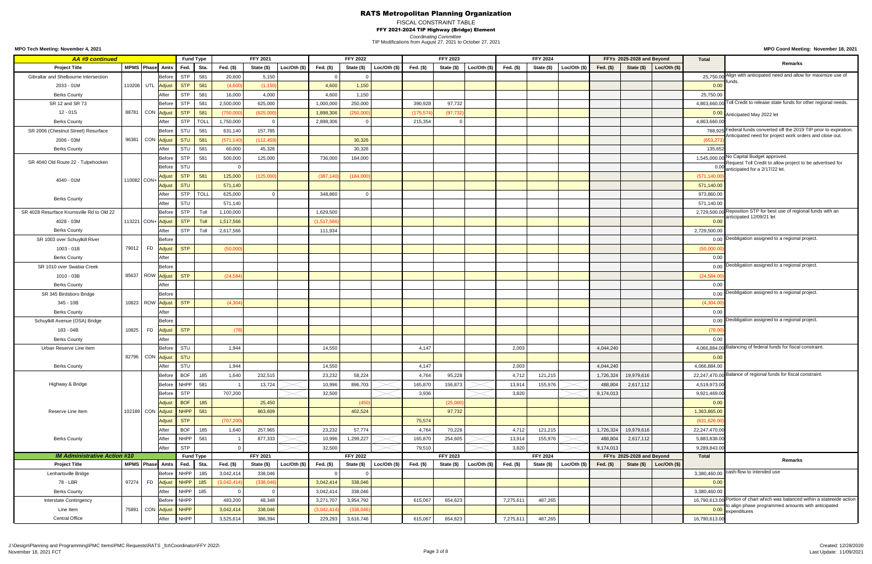## FISCAL CONSTRAINT TABLE

FFY 2021-2024 TIP Highway (Bridge) Element

**MPO Coord Meeting: November 18, 2021**

*Coordinating Committee* TIP Modifications from August 27, 2021 to October 27, 2021

| <b>AA #9 continued</b>                    |             |                                 |             | <b>Fund Type</b>           |             | <b>FFY 2021</b> |                |             | <b>FFY 2022</b> |              |            | <b>FFY 2023</b> |                |           | <b>FFY 2024</b> |                 |             | FFYs 2025-2028 and Beyond |                        | <b>Total</b>  |                                                                                                  |
|-------------------------------------------|-------------|---------------------------------|-------------|----------------------------|-------------|-----------------|----------------|-------------|-----------------|--------------|------------|-----------------|----------------|-----------|-----------------|-----------------|-------------|---------------------------|------------------------|---------------|--------------------------------------------------------------------------------------------------|
| <b>Project Title</b>                      |             | MPMS Phase Amts                 | Fed.        | Sta                        | Fed. (\$)   | State (\$)      | Loc/Oh (\$)    | Fed. (\$)   | State (\$)      | Loc/Oth (\$) | Fed. (\$)  | State (\$)      | Loc/Oth $(\$)$ | Fed. (\$) | State (\$)      | Loc/Oth $($ \$) | Fed. $(\$)$ | State (\$)                | Loc/Oth $(\$)$         |               | Remarks                                                                                          |
| Gibraltar and Shelbourne Intersection     |             | Before                          | <b>STP</b>  | 581                        | 20,600      | 5,150           |                |             |                 |              |            |                 |                |           |                 |                 |             |                           |                        |               | 25,750.00 Align with anticipated need and allow for maximize use of                              |
| 2033 - 01M                                |             | 110206 UTL Adjust               | <b>STP</b>  | 581                        | (4.600)     | (1, 150)        |                | 4,600       | 1,150           |              |            |                 |                |           |                 |                 |             |                           |                        | 0.00          | unds                                                                                             |
| <b>Berks County</b>                       |             | After                           | <b>STP</b>  | 581                        | 16,000      | 4,000           |                | 4,600       | 1,150           |              |            |                 |                |           |                 |                 |             |                           |                        | 25,750.00     |                                                                                                  |
| SR 12 and SR 73                           |             | Before                          | <b>STP</b>  | 581                        | 2,500,000   | 625,000         |                | 1,000,000   | 250,000         |              | 390,928    | 97,732          |                |           |                 |                 |             |                           |                        | 4,863,660.00  | Toll Credit to release state funds for other regional needs.                                     |
| 12 - 01S                                  | 88781       | CON Adjust                      | <b>STP</b>  | 581                        | (750,000)   | (625,000)       |                | 1,898,306   | (250,000)       |              | (175, 574) | (97, 732)       |                |           |                 |                 |             |                           |                        |               | 0.00 Anticipated May 2022 let                                                                    |
| <b>Berks County</b>                       |             | After                           | <b>STP</b>  | <b>TOLL</b>                | 1,750,000   |                 |                | 2,898,306   |                 |              | 215,354    |                 |                |           |                 |                 |             |                           |                        | 4,863,660.00  |                                                                                                  |
| SR 2006 (Chestnut Street) Resurface       |             | Before                          | STU         | 581                        | 631,140     | 157,785         |                |             |                 |              |            |                 |                |           |                 |                 |             |                           |                        |               | 788,925 Federal funds converted off the 2019 TIP prior to expiration.                            |
| 2006 - 03M                                | 96381       | CON Adjust                      | <b>STU</b>  | 581                        | (571, 140)  | (112, 459)      |                |             | 30,326          |              |            |                 |                |           |                 |                 |             |                           |                        | (653, 27)     | Anticipated need for project work orders and close out                                           |
| <b>Berks County</b>                       |             | After                           | <b>STU</b>  | 581                        | 60,000      | 45,326          |                |             | 30,326          |              |            |                 |                |           |                 |                 |             |                           |                        | 135,652       |                                                                                                  |
|                                           |             | Before                          | <b>STP</b>  | 581                        | 500,000     | 125,000         |                | 736,000     | 184,000         |              |            |                 |                |           |                 |                 |             |                           |                        |               | 1,545,000.00 No Capital Budget approved.                                                         |
| SR 4040 Old Route 22 - Tulpehocken        |             | Before                          | STU         |                            |             |                 |                |             |                 |              |            |                 |                |           |                 |                 |             |                           |                        |               | Request Toll Credit to allow project to be advertised for<br>0.00 anticipated for a 2/17/22 let. |
|                                           |             | Adjust                          | <b>STP</b>  | 581                        | 125,000     | (125,000)       |                | (387, 140)  | (184,000)       |              |            |                 |                |           |                 |                 |             |                           |                        | (571, 140.00) |                                                                                                  |
| 4040 - 01M                                | 110082 CON+ | Adjust                          | <b>STU</b>  |                            | 571,140     |                 |                |             |                 |              |            |                 |                |           |                 |                 |             |                           |                        | 571,140.00    |                                                                                                  |
|                                           |             | After                           | <b>STP</b>  | <b>TOLL</b>                | 625,000     |                 |                | 348,860     |                 |              |            |                 |                |           |                 |                 |             |                           |                        | 973,860.00    |                                                                                                  |
| <b>Berks County</b>                       |             | After                           | <b>STU</b>  |                            | 571,140     |                 |                |             |                 |              |            |                 |                |           |                 |                 |             |                           |                        | 571,140.00    |                                                                                                  |
| SR 4028 Resurface Krumsville Rd to Old 22 |             | Before                          | <b>STP</b>  | Toll                       | 1,100,000   |                 |                | 1,629,500   |                 |              |            |                 |                |           |                 |                 |             |                           |                        |               | 2,729,500.00 Reposition STP for best use of regional funds with an                               |
| 4028 - 03M                                |             | 113221 CON+ Adjust              | <b>STP</b>  | <b>Toll</b>                | 1,517,566   |                 |                | (1,517,566) |                 |              |            |                 |                |           |                 |                 |             |                           |                        | 0.00          | anticipated 12/09/21 let                                                                         |
| <b>Berks County</b>                       |             | After                           | <b>STP</b>  | Toll                       | 2,617,566   |                 |                | 111,934     |                 |              |            |                 |                |           |                 |                 |             |                           |                        | 2,729,500.00  |                                                                                                  |
| SR 1003 over Schuylkill River             |             | Before                          |             |                            |             |                 |                |             |                 |              |            |                 |                |           |                 |                 |             |                           |                        |               | 0.00 Deobligation assigned to a regional project.                                                |
| 1003 - 01B                                | 79012       | FD <mark>Adjust</mark>          | <b>STP</b>  |                            | (50,000)    |                 |                |             |                 |              |            |                 |                |           |                 |                 |             |                           |                        | (50,000.00)   |                                                                                                  |
| <b>Berks County</b>                       |             | After                           |             |                            |             |                 |                |             |                 |              |            |                 |                |           |                 |                 |             |                           |                        | 0.00          |                                                                                                  |
| SR 1010 over Swabia Creek                 |             | Before                          |             |                            |             |                 |                |             |                 |              |            |                 |                |           |                 |                 |             |                           |                        |               | 0.00 Deobligation assigned to a regional project.                                                |
| 1010 - 03B                                |             | 85637 ROW <mark>Adjust</mark>   | <b>STP</b>  |                            | (24, 584)   |                 |                |             |                 |              |            |                 |                |           |                 |                 |             |                           |                        | (24, 584.00)  |                                                                                                  |
| <b>Berks County</b>                       |             | After                           |             |                            |             |                 |                |             |                 |              |            |                 |                |           |                 |                 |             |                           |                        | 0.00          |                                                                                                  |
| SR 345 Birdsboro Bridge                   |             | Before                          |             |                            |             |                 |                |             |                 |              |            |                 |                |           |                 |                 |             |                           |                        |               | 0.00 Deobligation assigned to a regional project.                                                |
| 345 - 10B                                 |             | 10823   ROW <mark>Adjust</mark> | <b>STP</b>  |                            | (4, 304)    |                 |                |             |                 |              |            |                 |                |           |                 |                 |             |                           |                        | (4,304.00)    |                                                                                                  |
| <b>Berks County</b>                       |             | After                           |             |                            |             |                 |                |             |                 |              |            |                 |                |           |                 |                 |             |                           |                        | 0.00          |                                                                                                  |
| Schuylkill Avenue (OSA) Bridge            |             | Before                          |             |                            |             |                 |                |             |                 |              |            |                 |                |           |                 |                 |             |                           |                        |               | 0.00 Deobligation assigned to a regional project.                                                |
|                                           | 10825       |                                 | <b>STP</b>  |                            |             |                 |                |             |                 |              |            |                 |                |           |                 |                 |             |                           |                        |               |                                                                                                  |
| 183 - 04B                                 |             | FD <mark>Adjust</mark>          |             |                            |             |                 |                |             |                 |              |            |                 |                |           |                 |                 |             |                           |                        | (78.00)       |                                                                                                  |
| <b>Berks County</b>                       |             | After                           |             |                            |             |                 |                |             |                 |              |            |                 |                |           |                 |                 |             |                           |                        | 0.00          | 4,066,884.00 Balancing of federal funds for fiscal constraint.                                   |
| Urban Reserve Line Item                   |             | Before                          | STU         |                            | 1,944       |                 |                | 14,550      |                 |              | 4,147      |                 |                | 2,003     |                 |                 | 4,044,240   |                           |                        |               |                                                                                                  |
|                                           |             | 82796 CON <mark>Adjust</mark>   | <b>STU</b>  |                            |             |                 |                |             |                 |              |            |                 |                |           |                 |                 |             |                           |                        | 0.00          |                                                                                                  |
| <b>Berks County</b>                       |             | After                           | <b>STU</b>  |                            | 1,944       |                 |                | 14,550      |                 |              | 4,147      |                 |                | 2,003     |                 |                 | 4,044,240   |                           |                        | 4,066,884.00  | 22,247,470.00 Balance of regional funds for fiscal constraint.                                   |
|                                           |             | Before                          | <b>BOF</b>  | 185                        | 1,640       | 232,515         |                | 23,232      | 58,224          |              | 4,764      | 95,228          |                | 4,712     | 121,215         |                 | 1,726,324   | 19,979,616                |                        |               |                                                                                                  |
| Highway & Bridge                          |             | Before                          | <b>NHPP</b> | 581                        |             | 13,724          |                | 10,996      | 896,703         |              | 165,870    | 156,873         |                | 13,914    | 155,976         |                 | 488,804     | 2,617,112                 |                        | 4,519,973.00  |                                                                                                  |
|                                           |             | Before                          | <b>STP</b>  |                            | 707,200     |                 |                | 32,500      |                 |              | 3,936      |                 |                | 3,820     |                 |                 | 9,174,013   |                           |                        | 9,921,469.0   |                                                                                                  |
|                                           |             | <b>Adjust</b>                   | <b>BOF</b>  | 185                        |             | 25,450          |                |             | (450)           |              |            | (25,000)        |                |           |                 |                 |             |                           |                        | 0.00          |                                                                                                  |
| Reserve Line Item                         |             | 102189 CON Adjust               | <b>NHPP</b> | 581                        |             | 863,609         |                |             | 402,524         |              |            | 97,732          |                |           |                 |                 |             |                           |                        | 1,363,865.00  |                                                                                                  |
|                                           |             | <b>Adjust</b>                   | <b>STP</b>  |                            | (707, 200)  |                 |                |             |                 |              | 75,574     |                 |                |           |                 |                 |             |                           |                        | (631, 626.00) |                                                                                                  |
|                                           |             | After                           | <b>BOF</b>  | 185                        | 1,640       | 257,965         |                | 23,232      | 57,774          |              | 4,764      | 70,228          |                | 4,712     | 121,215         |                 | 1,726,324   | 19,979,616                |                        | 22,247,470.00 |                                                                                                  |
| <b>Berks County</b>                       |             | After                           | <b>NHPP</b> | 581                        |             | 877,333         |                | 10,996      | 1,299,227       |              | 165,870    | 254,605         |                | 13,914    | 155,976         |                 | 488,804     | 2,617,112                 |                        | 5,883,838.0   |                                                                                                  |
|                                           |             | After                           | <b>STP</b>  |                            |             |                 |                | 32,500      |                 |              | 79,510     |                 |                | 3,820     |                 |                 | 9,174,013   |                           |                        | 9,289,843.00  |                                                                                                  |
| <b>IM Administrative Action #10</b>       |             |                                 |             | <b>Fund Type</b>           |             | <b>FFY 2021</b> |                |             | <b>FFY 2022</b> |              |            | <b>FFY 2023</b> |                |           | <b>FFY 2024</b> |                 |             | FFYs 2025-2028 and Beyond |                        | <b>Total</b>  | <b>Remarks</b>                                                                                   |
| <b>Project Title</b>                      |             | MPMS Phase Amts                 | Fed.        | Sta.                       | Fed. (\$)   | State (\$)      | Loc/Oth $(\$)$ | Fed. (\$)   | State (\$)      | Loc/Oh (\$)  | Fed. (\$)  | State (\$)      | Loc/Oh (\$)    | Fed. (\$) | State (\$)      | Loc/Oth (\$)    | Fed. $($)$  | State (\$)                | $\vert$ Loc/Oth $(\$)$ |               | 3,380,460.00 cash-flow to intended use                                                           |
| Lenhartsville Bridge                      |             | Before                          | <b>NHPP</b> | 185                        | 3,042,414   | 338,046         |                |             |                 |              |            |                 |                |           |                 |                 |             |                           |                        |               |                                                                                                  |
| 78 - LBR                                  |             |                                 |             | 97274   FD Adjust NHPP 185 | (3,042,414) | (338, 046)      |                | 3,042,414   | 338,046         |              |            |                 |                |           |                 |                 |             |                           |                        | 0.00          |                                                                                                  |
| <b>Berks County</b>                       |             | After                           | NHPP        | 185                        |             |                 |                | 3,042,414   | 338,046         |              |            |                 |                |           |                 |                 |             |                           |                        | 3,380,460.00  | 16,790,613.00 Portion of chart which was balanced within a statewide action                      |
| Interstate Contingency                    |             |                                 | Before NHPP |                            | 483,200     | 48,348          |                | 3,271,707   | 3,954,792       |              | 615,067    | 654,623         |                | 7,275,611 | 487,265         |                 |             |                           |                        |               | to align phase programmed amounts with anticipated                                               |
| Line Item                                 |             | 75891 CON Adjust NHPP           |             |                            | 3,042,414   | 338,046         |                | (3,042,414) | (338, 046)      |              |            |                 |                |           |                 |                 |             |                           |                        |               | 0.00 expenditures                                                                                |
| <b>Central Office</b>                     |             | After                           | <b>NHPP</b> |                            | 3,525,614   | 386,394         |                | 229,293     | 3,616,746       |              | 615,067    | 654,623         |                | 7,275,611 | 487,265         |                 |             |                           |                        | 16,790,613.00 |                                                                                                  |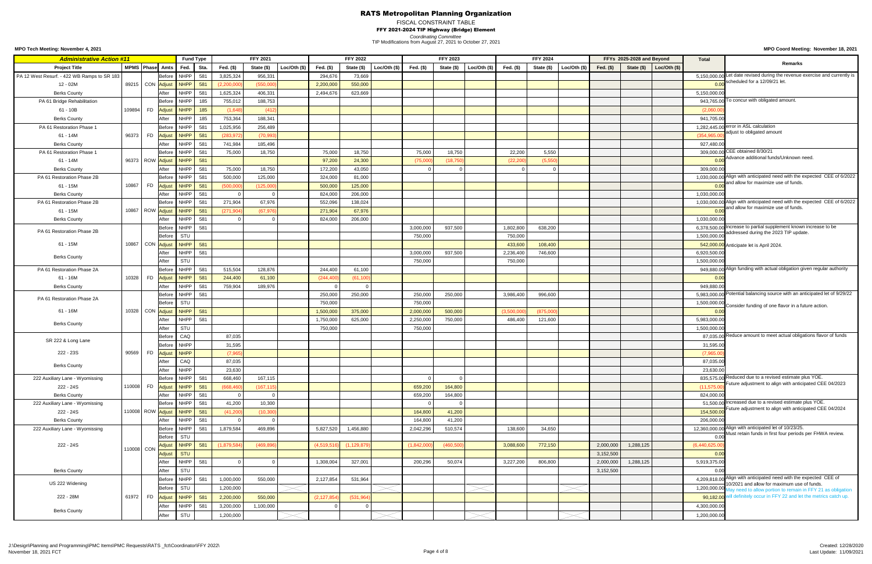## FISCAL CONSTRAINT TABLE

FFY 2021-2024 TIP Highway (Bridge) Element

*Coordinating Committee*

**MPO Coord Meeting: November 18, 2021**

TIP Modifications from August 27, 2021 to October 27, 2021

| <b>Administrative Action #11</b>            |                   |                        |               |                 | <b>Fund Type</b> |      |             | <b>FFY 2021</b> |              |               | <b>FFY 2022</b> |             |             | <b>FFY 2023</b> |                |             | <b>FFY 2024</b> |             |             | FFYs 2025-2028 and Beyond |                      | <b>Total</b>     |                                                                                                                         |
|---------------------------------------------|-------------------|------------------------|---------------|-----------------|------------------|------|-------------|-----------------|--------------|---------------|-----------------|-------------|-------------|-----------------|----------------|-------------|-----------------|-------------|-------------|---------------------------|----------------------|------------------|-------------------------------------------------------------------------------------------------------------------------|
| <b>Project Title</b>                        | MPMS Phase Amts   |                        |               | Fed.            |                  | Sta. | Fed. (\$)   | State (\$)      | Loc/Oth (\$) | Fed. (\$)     | State (\$)      | Loc/Oh (\$) | Fed. $(\$)$ | State (\$)      | Loc/Oth $(\$)$ | Fed. (\$)   | State (\$)      | Loc/Oh (\$) | Fed. $(\$)$ | State (\$)                | $\vert$ Loc/Oth (\$) |                  | Remarks                                                                                                                 |
| PA 12 West Resurf. - 422 WB Ramps to SR 183 |                   |                        | Before        |                 | NHPP             | 581  | 3,825,324   | 956,331         |              | 294,676       | 73,669          |             |             |                 |                |             |                 |             |             |                           |                      |                  | 5,150,000.00 Let date revised during the revenue exercise and currently is                                              |
| 12 - 02M                                    | 89215 CON Adjust  |                        |               |                 | NHPP             | 581  | (2,200,00)  | (550,000)       |              | 2,200,000     | 550,000         |             |             |                 |                |             |                 |             |             |                           |                      | 0.00             | scheduled for a 12/09/21 let.                                                                                           |
| <b>Berks County</b>                         |                   |                        | After         |                 | <b>NHPP</b>      | 581  | 1,625,324   | 406,331         |              | 2,494,676     | 623,669         |             |             |                 |                |             |                 |             |             |                           |                      | 5,150,000.00     |                                                                                                                         |
| PA 61 Bridge Rehabilitation                 |                   |                        | Before        |                 | <b>NHPP</b>      | 185  | 755,012     | 188,753         |              |               |                 |             |             |                 |                |             |                 |             |             |                           |                      |                  | 943,765.00 <sup>To</sup> concur with obligated amount.                                                                  |
| $61 - 10B$                                  | 109894            | FD <mark>Adjust</mark> |               |                 | NHPP             | 185  | (1,648)     | (41)            |              |               |                 |             |             |                 |                |             |                 |             |             |                           |                      | (2,060.00)       |                                                                                                                         |
| <b>Berks County</b>                         |                   |                        | After         |                 | <b>NHPP</b>      | 185  | 753,364     | 188,341         |              |               |                 |             |             |                 |                |             |                 |             |             |                           |                      | 941,705.00       |                                                                                                                         |
| PA 61 Restoration Phase 1                   |                   |                        | Before        |                 | <b>NHPP</b>      | 581  | 1,025,956   | 256,489         |              |               |                 |             |             |                 |                |             |                 |             |             |                           |                      |                  | 1,282,445.00 error in ASL calculation                                                                                   |
| 61 - 14M                                    | 96373             | <b>FD</b>              | <b>Adjus</b>  |                 | NHPP             | 581  | (283, 972)  | (70, 99)        |              |               |                 |             |             |                 |                |             |                 |             |             |                           |                      | (354, 965.00)    | adjust to obligated amount                                                                                              |
| <b>Berks County</b>                         |                   |                        | After         |                 | <b>NHPP</b>      | 581  | 741,984     | 185,496         |              |               |                 |             |             |                 |                |             |                 |             |             |                           |                      | 927,480.00       |                                                                                                                         |
| PA 61 Restoration Phase 1                   |                   |                        | <b>Before</b> |                 | NHPP             | 581  | 75,000      | 18,750          |              | 75,000        | 18,750          |             | 75,000      | 18,750          |                | 22,200      | 5,550           |             |             |                           |                      |                  | 309,000.00 CEE obtained 8/30/21                                                                                         |
| 61 - 14M                                    | 96373 ROW Adjust  |                        |               |                 | NHPP             | 581  |             |                 |              | 97,200        | 24,300          |             | (75,000)    | (18.750         |                | (22, 200)   | (5,55)          |             |             |                           |                      | 0.00             | Advance additional funds/Unknown need.                                                                                  |
| <b>Berks County</b>                         |                   |                        | After         |                 | <b>NHPP</b>      | 581  | 75,000      | 18,750          |              | 172,200       | 43,050          |             |             |                 |                |             |                 |             |             |                           |                      | 309,000.00       |                                                                                                                         |
| PA 61 Restoration Phase 2B                  |                   |                        | Before        |                 | NHPP             | 581  | 500,000     | 125,000         |              | 324,000       | 81,000          |             |             |                 |                |             |                 |             |             |                           |                      |                  | 1,030,000.00 Align with anticipated need with the expected CEE of 6/2022                                                |
| 61 - 15M                                    | 10867             |                        |               |                 | <b>NHPP</b>      |      |             |                 |              |               |                 |             |             |                 |                |             |                 |             |             |                           |                      | 0.00             | and allow for maximize use of funds.                                                                                    |
|                                             |                   | FD <mark>Adjust</mark> |               |                 |                  | 581  | (500,000)   | (125,000)       |              | 500,000       | 125,000         |             |             |                 |                |             |                 |             |             |                           |                      |                  |                                                                                                                         |
| <b>Berks County</b>                         |                   |                        | After         |                 | <b>NHPP</b>      | 581  |             |                 |              | 824,000       | 206,000         |             |             |                 |                |             |                 |             |             |                           |                      | 1,030,000.00     | 1,030,000.00 Align with anticipated need with the expected CEE of 6/2022                                                |
| PA 61 Restoration Phase 2B                  |                   |                        | Before        |                 | <b>NHPP</b>      | 581  | 271,904     | 67,976          |              | 552,096       | 138,024         |             |             |                 |                |             |                 |             |             |                           |                      |                  | and allow for maximize use of funds.                                                                                    |
| 61 - 15M                                    | 10867 ROW Adjust  |                        |               |                 | NHPP             | 581  | (271, 904)  | (67, 976)       |              | 271,904       | 67,976          |             |             |                 |                |             |                 |             |             |                           |                      | 0.00             |                                                                                                                         |
| <b>Berks County</b>                         |                   |                        | After         |                 | NHPP             | 581  |             |                 |              | 824,000       | 206,000         |             |             |                 |                |             |                 |             |             |                           |                      | 1,030,000.00     |                                                                                                                         |
| PA 61 Restoration Phase 2B                  |                   |                        | Before        |                 | NHPP             | 581  |             |                 |              |               |                 |             | 3,000,000   | 937,500         |                | 1,802,800   | 638,200         |             |             |                           |                      |                  | 6,378,500.00 Increase to partial supplement known increase to be<br>addressed during the 2023 TIP update.               |
|                                             |                   |                        | Before        | STU             |                  |      |             |                 |              |               |                 |             | 750,000     |                 |                | 750,000     |                 |             |             |                           |                      | 1,500,000.00     |                                                                                                                         |
| $61 - 15M$                                  | 10867 CON Adjust  |                        |               |                 | NHPP             | 581  |             |                 |              |               |                 |             |             |                 |                | 433,600     | 108,400         |             |             |                           |                      |                  | 542,000.00 Anticipate let is April 2024.                                                                                |
| <b>Berks County</b>                         |                   |                        | After         |                 | <b>NHPP</b>      | 581  |             |                 |              |               |                 |             | 3,000,000   | 937,500         |                | 2,236,400   | 746,600         |             |             |                           |                      | 6,920,500.00     |                                                                                                                         |
|                                             |                   |                        | After         | STU             |                  |      |             |                 |              |               |                 |             | 750,000     |                 |                | 750,000     |                 |             |             |                           |                      | 1,500,000.00     |                                                                                                                         |
| PA 61 Restoration Phase 2A                  |                   |                        |               | Before NHPP 581 |                  |      | 515,504     | 128,876         |              | 244,400       | 61,100          |             |             |                 |                |             |                 |             |             |                           |                      |                  | 949,880.00 Align funding with actual obligation given regular authority                                                 |
| 61 - 16M                                    | 10328             | FD Adjust              |               |                 | NHPP             | 581  | 244,400     | 61,100          |              | (244, 400)    | (61, 100)       |             |             |                 |                |             |                 |             |             |                           |                      | 0.00             |                                                                                                                         |
| <b>Berks County</b>                         |                   |                        | After         |                 | NHPP             | 581  | 759,904     | 189,976         |              |               |                 |             |             |                 |                |             |                 |             |             |                           |                      | 949,880.0        |                                                                                                                         |
| PA 61 Restoration Phase 2A                  |                   |                        | <b>Before</b> |                 | NHPP             | 581  |             |                 |              | 250,000       | 250,000         |             | 250,000     | 250,000         |                | 3,986,400   | 996,600         |             |             |                           |                      |                  | 5,983,000.00 Potential balancing source with an anticipated let of 9/29/22                                              |
|                                             |                   |                        | Before        | STU             |                  |      |             |                 |              | 750,000       |                 |             | 750,000     |                 |                |             |                 |             |             |                           |                      | 1,500,000.00     | Consider funding of one flavor in a future action.                                                                      |
| 61 - 16M                                    | 10328 CON Adjust  |                        |               |                 | <b>NHPP</b>      | 581  |             |                 |              | 1,500,000     | 375,000         |             | 2,000,000   | 500,000         |                | (3,500,000) | (875,000)       |             |             |                           |                      | 0.00             |                                                                                                                         |
| <b>Berks County</b>                         |                   |                        | After         |                 | NHPP             | 581  |             |                 |              | 1,750,000     | 625,000         |             | 2,250,000   | 750,000         |                | 486,400     | 121,600         |             |             |                           |                      | 5,983,000.0      |                                                                                                                         |
|                                             |                   |                        | After         | STU             |                  |      |             |                 |              | 750,000       |                 |             | 750,000     |                 |                |             |                 |             |             |                           |                      | 1,500,000.0      |                                                                                                                         |
| SR 222 & Long Lane                          |                   |                        | Before        | CAQ             |                  |      | 87,035      |                 |              |               |                 |             |             |                 |                |             |                 |             |             |                           |                      |                  | 87,035.00 Reduce amount to meet actual obligations flavor of funds                                                      |
|                                             |                   |                        | Before        | <b>NHPP</b>     |                  |      | 31,595      |                 |              |               |                 |             |             |                 |                |             |                 |             |             |                           |                      | 31,595.00        |                                                                                                                         |
| 222 - 23S                                   | 90569             | <b>FD</b>              | Adjust        | <b>NHPP</b>     |                  |      | (7, 965)    |                 |              |               |                 |             |             |                 |                |             |                 |             |             |                           |                      | (7,965.00)       |                                                                                                                         |
| <b>Berks County</b>                         |                   |                        | After         |                 | CAQ              |      | 87,035      |                 |              |               |                 |             |             |                 |                |             |                 |             |             |                           |                      | 87,035.00        |                                                                                                                         |
|                                             |                   |                        | After         |                 | <b>NHPP</b>      |      | 23,630      |                 |              |               |                 |             |             |                 |                |             |                 |             |             |                           |                      | 23,630.00        |                                                                                                                         |
| 222 Auxiliary Lane - Wyomissing             |                   |                        | Before        |                 | <b>NHPP</b>      | 581  | 668,460     | 167,115         |              |               |                 |             |             |                 |                |             |                 |             |             |                           |                      |                  | 835,575.00 Reduced due to a revised estimate plus YOE.<br>Future adjustment to align with anticipated CEE 04/2023       |
| 222 - 24S                                   | 110008            | <b>FD</b>              | Adjust        |                 | NHPP             | 581  | (668, 460)  | (167, 11)       |              |               |                 |             | 659,200     | 164,800         |                |             |                 |             |             |                           |                      | (11, 575.00)     |                                                                                                                         |
| <b>Berks County</b>                         |                   |                        | After         |                 | NHPP             | 581  |             |                 |              |               |                 |             | 659,200     | 164,800         |                |             |                 |             |             |                           |                      | 824,000.00       |                                                                                                                         |
| 222 Auxiliary Lane - Wyomissing             |                   |                        | Before        |                 | NHPP             | 581  | 41,200      | 10,300          |              |               |                 |             |             |                 |                |             |                 |             |             |                           |                      |                  | 51,500.00 Increased due to a revised estimate plus YOE.<br>Future adjustment to align with anticipated CEE 04/2024      |
| 222 - 24S                                   | 110008 ROW Adjust |                        |               |                 | NHPP             | 581  | (41, 200)   | (10, 300)       |              |               |                 |             | 164,800     | 41,200          |                |             |                 |             |             |                           |                      | 154,500.00       |                                                                                                                         |
| <b>Berks County</b>                         |                   |                        | After         |                 | <b>NHPP</b>      | 581  |             |                 |              |               |                 |             | 164,800     | 41,200          |                |             |                 |             |             |                           |                      | 206,000.00       |                                                                                                                         |
| 222 Auxiliary Lane - Wyomissing             |                   |                        | <b>Before</b> |                 | <b>NHPP</b>      | 581  | 1,879,584   | 469,896         |              | 5,827,520     | 1,456,880       |             | 2,042,296   | 510,574         |                | 138,600     | 34,650          |             |             |                           |                      |                  | 12,360,000.00 Align with anticipated let of 10/23/25.                                                                   |
|                                             |                   |                        | Before        | STU             |                  |      |             |                 |              |               |                 |             |             |                 |                |             |                 |             |             |                           |                      | 0.00             | Must retain funds in first four periods per FHWA review.                                                                |
| 222 - 24S                                   | 110008 CON        |                        | <b>Adjus</b>  |                 | NHPP             | 581  | (1,879,584) | (469, 896)      |              | (4,519,516)   | (1, 129, 87)    |             | (1,842,000) | (460, 500)      |                | 3,088,600   | 772,150         |             | 2,000,000   | 1,288,125                 |                      | (6,440,625.00)   |                                                                                                                         |
|                                             |                   |                        | Adjust        | <b>STU</b>      |                  |      |             |                 |              |               |                 |             |             |                 |                |             |                 |             | 3,152,500   |                           |                      | 0.0 <sub>0</sub> |                                                                                                                         |
|                                             |                   |                        | After         |                 | <b>NHPP</b>      | 581  |             |                 |              | 1,308,004     | 327,001         |             | 200,296     | 50,074          |                | 3,227,200   | 806,800         |             | 2,000,000   | 1,288,125                 |                      | 5,919,375.00     |                                                                                                                         |
| <b>Berks County</b>                         |                   |                        | After         | STU             |                  |      |             |                 |              |               |                 |             |             |                 |                |             |                 |             | 3,152,500   |                           |                      | 0.00             |                                                                                                                         |
|                                             |                   |                        | Before        |                 | NHPP             | 581  | 1,000,000   | 550,000         |              | 2,127,854     | 531,964         |             |             |                 |                |             |                 |             |             |                           |                      |                  | 4,209,818.00 Align with anticipated need with the expected CEE of                                                       |
| US 222 Widening                             |                   |                        | Before        | STU             |                  |      | 1,200,000   |                 |              |               |                 |             |             |                 |                |             |                 |             |             |                           |                      |                  | 10/2021 and allow for maximum use of funds.<br>1,200,000.00 May need to allow portion to remain in FFY 21 as obligation |
| 222 - 28M                                   | 61972             | <b>FD</b>              | Adjust        |                 | NHPP             | 581  | 2,200,000   | 550,000         |              | (2, 127, 854) | (531, 964)      |             |             |                 |                |             |                 |             |             |                           |                      |                  | 90,182.00 will definitely occur in FFY 22 and let the metrics catch up.                                                 |
|                                             |                   |                        | After         |                 | NHPP             | 581  | 3,200,000   | 1,100,000       |              |               |                 |             |             |                 |                |             |                 |             |             |                           |                      | 4,300,000.00     |                                                                                                                         |
| <b>Berks County</b>                         |                   |                        |               |                 |                  |      |             |                 |              |               |                 |             |             |                 |                |             |                 |             |             |                           |                      |                  |                                                                                                                         |
|                                             |                   |                        | After         | STU             |                  |      | 1,200,000   |                 |              |               |                 |             |             |                 |                |             |                 |             |             |                           |                      | 1,200,000.00     |                                                                                                                         |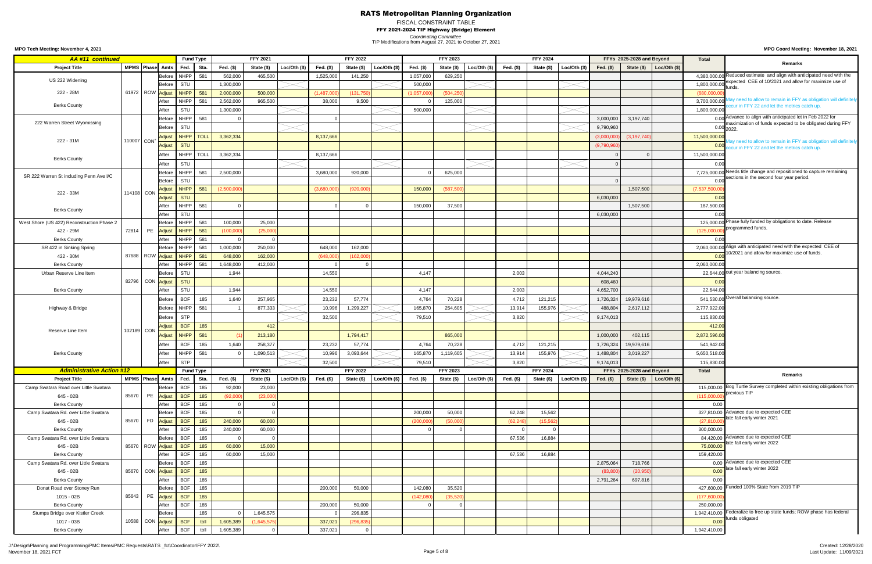# FISCAL CONSTRAINT TABLE

FFY 2021-2024 TIP Highway (Bridge) Element

*Coordinating Committee*

**MPO Coord Meeting: November 18, 2021**

TIP Modifications from August 27, 2021 to October 27, 2021

**MPO Tech Meeting: November 4, 2021**

J:\Design\Planning and Programming\PMC Items\PMC Requests\RATS \_fct\Coordinator\FFY 2022\ November 18, 2021 FCT Page 5 of 8

| <b>AA#11 continued</b>                            |       |            |                                 |                          | <b>Fund Type</b> |             | <b>FFY 2021</b> |              |             | <b>FFY 2022</b> |              |             | <b>FFY 2023</b> |                |           | <b>FFY 2024</b> |                |             | FFYs 2025-2028 and Beyond |                             | <b>Total</b>   |                                                                            |
|---------------------------------------------------|-------|------------|---------------------------------|--------------------------|------------------|-------------|-----------------|--------------|-------------|-----------------|--------------|-------------|-----------------|----------------|-----------|-----------------|----------------|-------------|---------------------------|-----------------------------|----------------|----------------------------------------------------------------------------|
| <b>Project Title</b>                              |       |            | MPMS Phase Amts                 | Fed.                     | Sta.             | Fed. (\$)   | State (\$)      | Loc/Oth (\$) | Fed. (\$)   | State (\$)      | Loc/Oth (\$) | Fed. (\$)   | State (\$)      | Loc/Oth $(\$)$ | Fed. (\$) | State (\$)      | Loc/Oth $(\$)$ | Fed. $(\$)$ | State (\$)                | Loc/Oth $(s)$               |                | <b>Remarks</b>                                                             |
|                                                   |       |            | Before                          | NHPP                     | 581              | 562,000     | 465,500         |              | 1,525,000   | 141,250         |              | 1,057,000   | 629,250         |                |           |                 |                |             |                           |                             |                | 4,380,000.00 Reduced estimate and align with anticipated need with the     |
| US 222 Widening                                   |       |            | Before                          | STU                      |                  | 1,300,000   |                 |              |             |                 |              | 500,000     |                 |                |           |                 |                |             |                           |                             | 1,800,000.00   | expected CEE of 10/2021 and allow for maximize use of                      |
| 222 - 28M                                         |       |            | 61972   ROW <mark>Adjust</mark> | NHPP                     | 581              | 2,000,000   | 500,000         |              | (1,487,000) | (131, 75)       |              | (1,057,000) | (504, 250)      |                |           |                 |                |             |                           |                             | (680,000.00)   |                                                                            |
|                                                   |       |            | After                           | NHPP                     | 581              | 2,562,000   | 965,500         |              | 38,000      | 9,500           |              |             | 125,000         |                |           |                 |                |             |                           |                             | 3,700,000.00   | May need to allow to remain in FFY as obligation will definitely           |
| <b>Berks County</b>                               |       |            | After                           | <b>STU</b>               |                  | 1,300,000   |                 |              |             |                 |              | 500,000     |                 |                |           |                 |                |             |                           |                             | 1,800,000.00   | ccur in FFY 22 and let the metrics catch up.                               |
|                                                   |       |            | Before                          | NHPP                     | 581              |             |                 |              | -0          |                 |              |             |                 |                |           |                 |                | 3,000,000   | 3,197,740                 |                             |                | 0.00 Advance to align with anticipated let in Feb 2022 for                 |
| 222 Warren Street Wyomissing                      |       |            | Before                          | STU                      |                  |             |                 |              |             |                 |              |             |                 |                |           |                 |                | 9,790,960   |                           |                             |                | maximization of funds expected to be obligated during FFY<br>$0.00_{2022}$ |
|                                                   |       |            | Adjust                          | NHPP                     | TOLL             | 3,362,334   |                 |              | 8,137,666   |                 |              |             |                 |                |           |                 |                | (3,000,000) | (3, 197, 740)             |                             | 11,500,000.00  |                                                                            |
| 222 - 31M                                         |       | 110007 CON | Adjust                          | <b>STU</b>               |                  |             |                 |              |             |                 |              |             |                 |                |           |                 |                | (9,790,960) |                           |                             | 0.00           | Aay need to allow to remain in FFY as obligation will definitely           |
|                                                   |       |            | After                           | NHPP                     | <b>TOLL</b>      | 3,362,334   |                 |              | 8,137,666   |                 |              |             |                 |                |           |                 |                |             |                           |                             | 11,500,000.00  | occur in FFY 22 and let the metrics catch up.                              |
| <b>Berks County</b>                               |       |            | After                           | <b>STU</b>               |                  |             |                 |              |             |                 |              |             |                 |                |           |                 |                |             |                           |                             | 0.00           |                                                                            |
|                                                   |       |            | Before                          | NHPP                     | 581              | 2,500,000   |                 |              | 3,680,000   | 920,000         |              |             | 625,000         |                |           |                 |                |             |                           |                             |                | 7,725,000.00 Needs title change and repositioned to capture remaining      |
| SR 222 Warren St including Penn Ave I/C           |       |            | Before                          | STU                      |                  |             |                 |              |             |                 |              |             |                 |                |           |                 |                |             |                           |                             |                | sections in the second four year period.                                   |
|                                                   |       |            | Adjust                          | NHPP                     | 581              | (2,500,000) |                 |              | (3,680,000) | (920,000)       |              | 150,000     | (587, 500)      |                |           |                 |                |             | 1,507,500                 |                             | (7,537,500.00) |                                                                            |
| 222 - 33M                                         |       | 114108 CON | Adjust                          | <b>STU</b>               |                  |             |                 |              |             |                 |              |             |                 |                |           |                 |                | 6,030,000   |                           |                             | 0.00           |                                                                            |
|                                                   |       |            | After                           | <b>NHPP</b>              | 581              |             |                 |              |             |                 |              | 150,000     | 37,500          |                |           |                 |                |             | 1,507,500                 |                             | 187,500.00     |                                                                            |
| <b>Berks County</b>                               |       |            | After                           | STU                      |                  |             |                 |              |             |                 |              |             |                 |                |           |                 |                | 6,030,000   |                           |                             | 0.00           |                                                                            |
| West Shore (US 422) Reconstruction Phase 2        |       |            | Before                          | NHPP                     | 581              | 100,000     | 25,000          |              |             |                 |              |             |                 |                |           |                 |                |             |                           |                             |                | 125,000.00 Phase fully funded by obligations to date. Release              |
| 422 - 29M                                         | 72814 |            | PE Adjust                       | NHPP                     | 581              | (100, 000)  | (25,000)        |              |             |                 |              |             |                 |                |           |                 |                |             |                           |                             | (125,000)      | programmed funds.                                                          |
| <b>Berks County</b>                               |       |            | After                           | NHPP                     | 581              |             |                 |              |             |                 |              |             |                 |                |           |                 |                |             |                           |                             | 0.00           |                                                                            |
| SR 422 in Sinking Spring                          |       |            | Before                          | NHPP                     | 58 <sup>°</sup>  | 1,000,000   | 250,000         |              | 648,000     | 162,000         |              |             |                 |                |           |                 |                |             |                           |                             |                | 2,060,000.00 Align with anticipated need with the expected CEE of          |
| 422 - 30M                                         |       |            | 87688 ROW <mark>Adjust</mark>   | NHPP                     | 581              | 648,000     | 162,000         |              | (648,000)   | (162,000)       |              |             |                 |                |           |                 |                |             |                           |                             | 0.00           | 10/2021 and allow for maximize use of funds.                               |
| <b>Berks County</b>                               |       |            | After                           | NHPP                     | 581              | 1,648,000   | 412,000         |              | - 0         |                 |              |             |                 |                |           |                 |                |             |                           |                             | 2,060,000.00   |                                                                            |
| Urban Reserve Line Item                           |       |            | Before                          | STU                      |                  | 1,944       |                 |              | 14,550      |                 |              | 4,147       |                 |                | 2,003     |                 |                | 4,044,240   |                           |                             |                | 22,644.00 out year balancing source.                                       |
|                                                   |       |            | 82796 CON Adjust                | <b>STU</b>               |                  |             |                 |              |             |                 |              |             |                 |                |           |                 |                | 608,460     |                           |                             | 0.00           |                                                                            |
| <b>Berks County</b>                               |       |            | After                           | <b>STU</b>               |                  | 1,944       |                 |              | 14,550      |                 |              | 4,147       |                 |                | 2,003     |                 |                | 4,652,700   |                           |                             | 22,644.00      |                                                                            |
|                                                   |       |            | Before                          | <b>BOF</b>               | 185              | 1,640       | 257,965         |              | 23,232      | 57,774          |              | 4,764       | 70,228          |                | 4,712     | 121,215         |                | 1,726,324   | 19,979,616                |                             |                | 541,530.00 Overall balancing source.                                       |
| Highway & Bridge                                  |       |            | <b>Before</b>                   | NHPP                     | 581              |             | 877,333         |              | 10,996      | 1,299,227       |              | 165,870     | 254,605         |                | 13,914    | 155,976         |                | 488,804     | 2,617,112                 |                             | 2,777,922.00   |                                                                            |
|                                                   |       |            | Before                          | <b>STP</b>               |                  |             |                 |              | 32,500      |                 |              | 79,510      |                 |                | 3,820     |                 |                | 9,174,013   |                           |                             | 115,830.00     |                                                                            |
|                                                   |       |            |                                 | <b>BOF</b>               | 185              |             | 412             |              |             |                 |              |             |                 |                |           |                 |                |             |                           |                             | 412.00         |                                                                            |
| Reserve Line Item                                 |       | 102189 CON | Adjust                          | <b>NHPP</b>              |                  |             |                 |              |             |                 |              |             |                 |                |           |                 |                |             |                           |                             |                |                                                                            |
|                                                   |       |            | Adjust                          |                          | 581              |             | 213,180         |              |             | 1,794,417       |              |             | 865,000         |                |           |                 |                | 1,000,000   | 402,115                   |                             | 2,872,596.00   |                                                                            |
|                                                   |       |            | After                           | <b>BOF</b>               | 185              | 1,640       | 258,377         |              | 23,232      | 57,774          |              | 4,764       | 70,228          |                | 4,712     | 121,215         |                | 1,726,324   | 19,979,616                |                             | 541,942.00     |                                                                            |
| <b>Berks County</b>                               |       |            | After                           | NHPP                     | 581              |             | 1,090,513       |              | 10,996      | 3,093,644       |              | 165,870     | 1,119,605       |                | 13,914    | 155,976         |                | 1,488,804   | 3,019,227                 |                             | 5,650,518.00   |                                                                            |
|                                                   |       |            | After                           | <b>STP</b>               |                  |             |                 |              | 32,500      |                 |              | 79,510      |                 |                | 3,820     |                 |                | 9,174,013   |                           |                             | 115,830.00     |                                                                            |
| <b>Administrative Action #12</b>                  |       |            |                                 |                          | <b>Fund Type</b> |             | <b>FFY 2021</b> |              |             | <b>FFY 2022</b> |              |             | <b>FFY 2023</b> |                |           | <b>FFY 2024</b> |                |             | FFYs 2025-2028 and Beyond |                             | <b>Total</b>   | <b>Remarks</b>                                                             |
| <b>Project Title</b>                              |       |            | MPMS Phase Amts                 | Fed.                     | Sta.             | Fed. (\$)   | State (\$)      | Loc/Oh (\$)  | Fed. (\$)   | State (\$)      | Loc/Oth (\$) | Fed. (\$)   | State (\$)      | Loc/Oth $(\$)$ | Fed. (\$) | State (\$)      | Loc/Oth $(\$)$ | Fed. $(\$)$ |                           | State $(\$)$ Loc/Oth $(\$)$ |                | 115,000.00 Bog Turtle Survey completed within existing obligations from    |
| Camp Swatara Road over Little Swatara             |       |            | Before                          | <b>BOF</b>               | 185              | 92,000      | 23,000          |              |             |                 |              |             |                 |                |           |                 |                |             |                           |                             |                | previous TIP                                                               |
| 645 - 02B                                         | 85670 | PE         | Adjust                          | <b>BOF</b>               | 185              | (92,000)    | (23,000)        |              |             |                 |              |             |                 |                |           |                 |                |             |                           |                             | (115,000.00)   |                                                                            |
| <b>Berks County</b>                               |       |            | After<br><b>Before</b>          | <b>BOF</b><br><b>BOF</b> | 185<br>185       |             |                 |              |             |                 |              |             | 50,000          |                | 62,248    | 15,562          |                |             |                           |                             | 0.00           | 327,810.00 Advance due to expected CEE                                     |
| Camp Swatara Rd. over Little Swatara<br>645 - 02B | 85670 |            | FD Adjust                       | <b>BOF</b>               | 185              | 240,000     | 60,000          |              |             |                 |              | 200,000     | (50,000)        |                | (62, 248) | (15, 562)       |                |             |                           |                             | (27, 810.00)   | late fall early winter 2021                                                |
| <b>Berks County</b>                               |       |            | After                           | <b>BOF</b>               | 185              | 240,000     | 60,000          |              |             |                 |              | (200,000)   |                 |                |           |                 |                |             |                           |                             | 300,000.00     |                                                                            |
| Camp Swatara Rd. over Little Swatara              |       |            | <b>Before</b>                   | <b>BOF</b>               | 185              |             |                 |              |             |                 |              |             |                 |                | 67,536    | 16,884          |                |             |                           |                             |                | 84,420.00 Advance due to expected CEE                                      |
| 645 - 02B                                         |       |            | 85670 ROW Adjust                | <b>BOF</b>               | 185              | 60,000      | 15,000          |              |             |                 |              |             |                 |                |           |                 |                |             |                           |                             | 75,000.00      | late fall early winter 2022                                                |
| <b>Berks County</b>                               |       |            | After                           | <b>BOF</b>               | 185              | 60,000      | 15,000          |              |             |                 |              |             |                 |                | 67,536    | 16,884          |                |             |                           |                             | 159,420.00     |                                                                            |
| Camp Swatara Rd. over Little Swatara              |       |            | Before                          | <b>BOF</b>               | 185              |             |                 |              |             |                 |              |             |                 |                |           |                 |                | 2,875,064   | 718,766                   |                             |                | 0.00 Advance due to expected CEE                                           |
| 645 - 02B                                         |       |            | 85670 CON Adjust                | <b>BOF</b>               | 185              |             |                 |              |             |                 |              |             |                 |                |           |                 |                | (83, 80)    | (20, 950)                 |                             | 0.00           | late fall early winter 2022                                                |
| <b>Berks County</b>                               |       |            | After                           | <b>BOF</b>               | 185              |             |                 |              |             |                 |              |             |                 |                |           |                 |                | 2,791,264   | 697,816                   |                             | 0.00           |                                                                            |
| Donat Road over Stoney Run                        |       |            | Before                          | <b>BOF</b>               | 185              |             |                 |              | 200,000     | 50,000          |              | 142,080     | 35,520          |                |           |                 |                |             |                           |                             |                | 427,600.00 Funded 100% State from 2019 TIP                                 |
| 1015 - 02B                                        | 85643 |            | PE Adjust                       | <b>BOF</b>               | 185              |             |                 |              |             |                 |              | (142,080)   | (35, 520)       |                |           |                 |                |             |                           |                             | (177,600.00)   |                                                                            |
| <b>Berks County</b>                               |       |            | After                           | <b>BOF</b>               | 185              |             |                 |              | 200,000     | 50,000          |              |             |                 |                |           |                 |                |             |                           |                             | 250,000.00     |                                                                            |
| Stumps Bridge over Kistler Creek                  |       |            | Before                          |                          | 185              |             | 1,645,575       |              |             | 296,835         |              |             |                 |                |           |                 |                |             |                           |                             |                | 1,942,410.00 Federalize to free up state funds; ROW phase has federal      |
| 1017 - 03B                                        |       |            | 10588 CON <mark>Adjust</mark>   | <b>BOF</b>               | toll             | 1,605,389   | (1,645,575)     |              | 337,021     | (296, 835)      |              |             |                 |                |           |                 |                |             |                           |                             | 0.00           | funds obligated                                                            |
| <b>Berks County</b>                               |       |            | After                           | <b>BOF</b>               | toll             | 1,605,389   |                 |              | 337,021     |                 |              |             |                 |                |           |                 |                |             |                           |                             | 1,942,410.00   |                                                                            |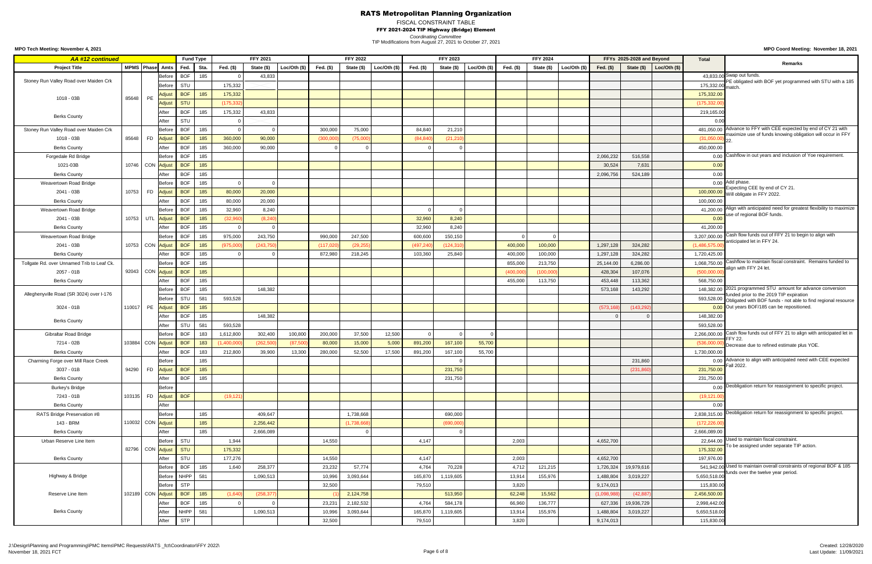FISCAL CONSTRAINT TABLE

FFY 2021-2024 TIP Highway (Bridge) Element

*Coordinating Committee*

**MPO Coord Meeting: November 18, 2021**

TIP Modifications from August 27, 2021 to October 27, 2021

| <b>AA #12 continued</b>                    |                   |           |               |                    | <b>Fund Type</b> |             | <b>FFY 2021</b> |              |            | <b>FFY 2022</b> |                |              | <b>FFY 2023</b> |             |           | <b>FFY 2024</b> |                |             | FFYs 2025-2028 and Beyond |                 | <b>Total</b>     |                                                                                                                     |
|--------------------------------------------|-------------------|-----------|---------------|--------------------|------------------|-------------|-----------------|--------------|------------|-----------------|----------------|--------------|-----------------|-------------|-----------|-----------------|----------------|-------------|---------------------------|-----------------|------------------|---------------------------------------------------------------------------------------------------------------------|
| <b>Project Title</b>                       | MPMS Phase Amts   |           |               | Fed.               | Sta.             | Fed. $(\$)$ | State (\$)      | Loc/Oth (\$) | Fed. (\$)  | State (\$)      | Loc/Oth $(\$)$ | Fed. $($ \$) | State (\$)      | Loc/Oh (\$) | Fed. (\$) | State (\$)      | Loc/Oth $(\$)$ | Fed. $(\$)$ | State (\$)                | Loc/Oth $($ \$) |                  | <b>Remarks</b>                                                                                                      |
|                                            |                   |           | Before        | <b>BOF</b>         | 185              |             | 43,833          |              |            |                 |                |              |                 |             |           |                 |                |             |                           |                 |                  | 43,833.00 Swap out funds.                                                                                           |
| Stoney Run Valley Road over Maiden Crk     |                   |           | Before        | STU                |                  | 175,332     |                 |              |            |                 |                |              |                 |             |           |                 |                |             |                           |                 | 175,332.00 match | PE obligated with BOF yet programmed with STU with a 185                                                            |
| 1018 - 03B                                 | 85648             | PE        | Adjus         | <b>BOF</b>         | 185              | 175,332     |                 |              |            |                 |                |              |                 |             |           |                 |                |             |                           |                 | 175,332.00       |                                                                                                                     |
|                                            |                   |           | Adjus         | <b>STU</b>         |                  | (175, 332)  |                 |              |            |                 |                |              |                 |             |           |                 |                |             |                           |                 | (175, 332.00)    |                                                                                                                     |
|                                            |                   |           | After         | <b>BOF</b>         | 185              | 175,332     | 43,833          |              |            |                 |                |              |                 |             |           |                 |                |             |                           |                 | 219,165.00       |                                                                                                                     |
| <b>Berks County</b>                        |                   |           | After         | STU                |                  |             |                 |              |            |                 |                |              |                 |             |           |                 |                |             |                           |                 | 0.00             |                                                                                                                     |
| Stoney Run Valley Road over Maiden Crk     |                   |           | <b>Before</b> | <b>BOF</b>         | 185              |             |                 |              | 300,000    | 75,000          |                | 84,840       | 21,210          |             |           |                 |                |             |                           |                 |                  | 481,050.00 Advance to FFY with CEE expected by end of CY 21 with                                                    |
| 1018 - 03B                                 | 85648             | <b>FD</b> | <b>Adjus</b>  | <b>BOF</b>         | 185              | 360,000     | 90,000          |              | (300,000)  | (75,000)        |                | (84, 840)    | (21, 210)       |             |           |                 |                |             |                           |                 | (31,050.00)      | maximize use of funds knowing obligation will occur in FFY                                                          |
| <b>Berks County</b>                        |                   |           | After         | <b>BOF</b>         | 185              | 360,000     | 90,000          |              |            |                 |                |              |                 |             |           |                 |                |             |                           |                 | 450,000.00       |                                                                                                                     |
| Forgedale Rd Bridge                        |                   |           | Before        | <b>BOF</b>         | 185              |             |                 |              |            |                 |                |              |                 |             |           |                 |                | 2,066,232   | 516,558                   |                 |                  | 0.00 Cashflow in out years and inclusion of Yoe requirement.                                                        |
| 1021-03B                                   | 10746 CON Adjust  |           |               | <b>BOF</b>         | 185              |             |                 |              |            |                 |                |              |                 |             |           |                 |                | 30,524      | 7,631                     |                 | 0.00             |                                                                                                                     |
| <b>Berks County</b>                        |                   |           | After         | <b>BOF</b>         | 185              |             |                 |              |            |                 |                |              |                 |             |           |                 |                | 2,096,756   | 524,189                   |                 | 0.00             |                                                                                                                     |
| <b>Weavertown Road Bridge</b>              |                   |           | Before        | <b>BOF</b>         | 185              |             |                 |              |            |                 |                |              |                 |             |           |                 |                |             |                           |                 |                  | $0.00$ Add phase.                                                                                                   |
| 2041 - 03B                                 | 10753             | <b>FD</b> | Adjust        | <b>BOF</b>         | 185              | 80,000      | 20,000          |              |            |                 |                |              |                 |             |           |                 |                |             |                           |                 |                  | Expecting CEE by end of CY 21.<br>100,000.00 Will obligate in FFY 2022.                                             |
| <b>Berks County</b>                        |                   |           | After         | <b>BOF</b>         | 185              | 80,000      | 20,000          |              |            |                 |                |              |                 |             |           |                 |                |             |                           |                 | 100,000.00       |                                                                                                                     |
| <b>Weavertown Road Bridge</b>              |                   |           | Before        | <b>BOF</b>         | 185              | 32,960      | 8,240           |              |            |                 |                |              |                 |             |           |                 |                |             |                           |                 |                  | 41,200.00 Align with anticipated need for greatest flexibility to maximize                                          |
| 2041 - 03B                                 | 10753 UTL         |           | <b>Adjus</b>  | <b>BOF</b>         | 185              | (32,960)    | (8,24)          |              |            |                 |                | 32,960       | 8,240           |             |           |                 |                |             |                           |                 | 0.00             | use of regional BOF funds.                                                                                          |
| <b>Berks County</b>                        |                   |           | After         | <b>BOF</b>         | 185              |             |                 |              |            |                 |                | 32,960       | 8,240           |             |           |                 |                |             |                           |                 | 41,200.00        |                                                                                                                     |
| <b>Weavertown Road Bridge</b>              |                   |           | Before        | <b>BOF</b>         | 185              | 975,000     | 243,750         |              | 990,000    | 247,500         |                | 600,600      | 150,150         |             |           |                 |                |             |                           |                 |                  | 3,207,000.00 Cash flow funds out of FFY 21 to begin to align with                                                   |
| 2041 - 03B                                 | 10753 CON Adjust  |           |               | <b>BOF</b>         | 185              | (975,000)   | (243, 75)       |              | (117, 020) | (29, 255)       |                | (497, 240)   | (124, 310)      |             | 400,000   | 100,000         |                | 1,297,128   | 324,282                   |                 | (1,486,575.00)   | anticipated let in FFY 24.                                                                                          |
| <b>Berks County</b>                        |                   |           | After         | <b>BOF</b>         | 185              |             |                 |              | 872,980    | 218,245         |                | 103,360      | 25,840          |             | 400,000   | 100,000         |                | 1,297,128   | 324,282                   |                 | 1,720,425.00     |                                                                                                                     |
| Tollgate Rd. over Unnamed Trib to Leaf Ck. |                   |           | Before        | <b>BOF</b>         | 185              |             |                 |              |            |                 |                |              |                 |             | 855,000   | 213,750         |                | 25,144.00   | 6,286.00                  |                 |                  | 1,068,750.00 Cashflow to maintain fiscal constraint. Remains funded to                                              |
| 2057 - 01B                                 | 92043 CON Adjust  |           |               | $\overline{)}$ BOF | 185              |             |                 |              |            |                 |                |              |                 |             | (400,000) | (100,000)       |                | 428,304     | 107,076                   |                 | (500,000.00)     | align with FFY 24 let.                                                                                              |
| <b>Berks County</b>                        |                   |           | After         | <b>BOF</b>         | 185              |             |                 |              |            |                 |                |              |                 |             | 455,000   | 113,750         |                | 453,448     | 113,362                   |                 | 568,750.00       |                                                                                                                     |
|                                            |                   |           | Before        | <b>BOF</b>         | 185              |             | 148,382         |              |            |                 |                |              |                 |             |           |                 |                | 573,168     | 143,292                   |                 | 148,382.00       | 2021 programmed STU amount for advance conversion                                                                   |
| Alleghenyville Road (SR 3024) over I-176   |                   |           | <b>Before</b> | STU                | 581              | 593,528     |                 |              |            |                 |                |              |                 |             |           |                 |                |             |                           |                 |                  | funded prior to the 2019 TIP expiration<br>593,528.00 Obligated with BOF funds - not able to find regional resource |
| $3024 - 01B$                               | 110017            | PE        | <b>Adjus</b>  | <b>BOF</b>         | 185              |             |                 |              |            |                 |                |              |                 |             |           |                 |                | (573, 168)  | (143, 292)                |                 |                  | 0.00 Out years BOF/185 can be repositioned.                                                                         |
|                                            |                   |           | After         | <b>BOF</b>         | 185              |             | 148,382         |              |            |                 |                |              |                 |             |           |                 |                |             |                           |                 | 148,382.00       |                                                                                                                     |
| <b>Berks County</b>                        |                   |           | After         | STU                | 581              | 593,528     |                 |              |            |                 |                |              |                 |             |           |                 |                |             |                           |                 | 593,528.00       |                                                                                                                     |
| <b>Gibraltar Road Bridge</b>               |                   |           | Before        | <b>BOF</b>         | 183              | 1,612,800   | 302,400         | 100,800      | 200,000    | 37,500          | 12,500         |              |                 |             |           |                 |                |             |                           |                 |                  | 2,266,000.00 Cash flow funds out of FFY 21 to align with anticipated let in                                         |
| 7214 - 02B                                 | 103884 CON Adjust |           |               | <b>BOF</b>         | 183              | (1,400,00)  | (262, 500)      | (87, 500)    | 80,000     | 15,000          | 5,000          | 891,200      | 167,100         | 55,700      |           |                 |                |             |                           |                 |                  | <b>FFY 22.</b><br>(536,000.00) Decrease due to refined estimate plus YOE.                                           |
| <b>Berks County</b>                        |                   |           | After         | <b>BOF</b>         | 183              | 212,800     | 39,900          | 13,300       | 280,000    | 52,500          | 17,500         | 891,200      | 167,100         | 55,700      |           |                 |                |             |                           |                 | 1,730,000.00     |                                                                                                                     |
| Charming Forge over Mill Race Creek        |                   |           | Before        |                    | 185              |             |                 |              |            |                 |                |              |                 |             |           |                 |                |             | 231,860                   |                 |                  | 0.00 Advance to align with anticipated need with CEE expected                                                       |
| 3037 - 01B                                 | 94290             | <b>FD</b> | <b>Adjust</b> | <b>BOF</b>         | 185              |             |                 |              |            |                 |                |              | 231,750         |             |           |                 |                |             | (231, 86)                 |                 | 231,750.00       | Fall 2022                                                                                                           |
| <b>Berks County</b>                        |                   |           | After         | <b>BOF</b>         | 185              |             |                 |              |            |                 |                |              | 231,750         |             |           |                 |                |             |                           |                 | 231,750.00       |                                                                                                                     |
| <b>Burkey's Bridge</b>                     |                   |           | Before        |                    |                  |             |                 |              |            |                 |                |              |                 |             |           |                 |                |             |                           |                 |                  | 0.00 Deobligation return for reassignment to specific project.                                                      |
| 7243 - 01B                                 | 103135            | <b>FD</b> | <b>Adjus</b>  | <b>BOF</b>         |                  | (19, 121)   |                 |              |            |                 |                |              |                 |             |           |                 |                |             |                           |                 | (19, 121.00)     |                                                                                                                     |
| <b>Berks County</b>                        |                   |           | After         |                    |                  |             |                 |              |            |                 |                |              |                 |             |           |                 |                |             |                           |                 | 0.00             |                                                                                                                     |
| RATS Bridge Preservation #8                |                   |           | Before        |                    | 185              |             | 409,647         |              |            | 1,738,668       |                |              | 690,000         |             |           |                 |                |             |                           |                 |                  | 2,838,315.00 Deobligation return for reassignment to specific project.                                              |
| 143 - BRM                                  | 110032 CON Adjust |           |               |                    | 185              |             | 2,256,442       |              |            | (1,738,668)     |                |              | (690,000)       |             |           |                 |                |             |                           |                 | (172, 226.00)    |                                                                                                                     |
| <b>Berks County</b>                        |                   |           | After         |                    | 185              |             | 2,666,089       |              |            |                 |                |              |                 |             |           |                 |                |             |                           |                 | 2,666,089.00     |                                                                                                                     |
| Urban Reserve Line Item                    |                   |           | Before        | STU                |                  | 1,944       |                 |              | 14,550     |                 |                | 4,147        |                 |             | 2,003     |                 |                | 4,652,700   |                           |                 |                  | 22,644.00 Used to maintain fiscal constraint.                                                                       |
|                                            | 82796 CON Adjust  |           |               | <b>STU</b>         |                  | 175,332     |                 |              |            |                 |                |              |                 |             |           |                 |                |             |                           |                 | 175,332.00       | To be assigned under separate TIP action.                                                                           |
| <b>Berks County</b>                        |                   |           | After         | STU                |                  | 177,276     |                 |              | 14,550     |                 |                | 4,147        |                 |             | 2,003     |                 |                | 4,652,700   |                           |                 | 197,976.00       |                                                                                                                     |
|                                            |                   |           | Before        | <b>BOF</b>         | 185              | 1,640       | 258,377         |              | 23,232     | 57,774          |                | 4,764        | 70,228          |             | 4,712     | 121,215         |                | 1,726,324   | 19,979,616                |                 |                  | 541,942.00 Used to maintain overall constraints of regional BOF & 185                                               |
| Highway & Bridge                           |                   |           | Before        | <b>NHPP</b>        | 581              |             | 1,090,513       |              | 10,996     | 3,093,644       |                | 165,870      | 1,119,605       |             | 13,914    | 155,976         |                | 1,488,804   | 3,019,227                 |                 | 5,650,518.00     | unds over the twelve year period.                                                                                   |
|                                            |                   |           |               | Before STP         |                  |             |                 |              | 32,500     |                 |                | 79,510       |                 |             | 3,820     |                 |                | 9,174,013   |                           |                 | 115,830.00       |                                                                                                                     |
| Reserve Line Item                          | 102189 CON Adjust |           |               | BOF                | 185              | (1,640)     | (258, 377)      |              |            | 2,124,758       |                |              | 513,950         |             | 62,248    | 15,562          |                | (1,098,988) | (42, 887)                 |                 | 2,456,500.00     |                                                                                                                     |
|                                            |                   |           | After         | <b>BOF</b>         | 185              |             |                 |              | 23,231     | 2,182,532       |                | 4,764        | 584,178         |             | 66,960    | 136,777         |                | 627,336     | 19,936,729                |                 | 2,998,442.00     |                                                                                                                     |
| <b>Berks County</b>                        |                   |           | After         | <b>NHPP</b>        | 581              |             | 1,090,513       |              | 10,996     | 3,093,644       |                | 165,870      | 1,119,605       |             | 13,914    | 155,976         |                | 1,488,804   | 3,019,227                 |                 | 5,650,518.00     |                                                                                                                     |
|                                            |                   |           | After         | <b>STP</b>         |                  |             |                 |              | 32,500     |                 |                | 79,510       |                 |             | 3,820     |                 |                | 9,174,013   |                           |                 | 115,830.00       |                                                                                                                     |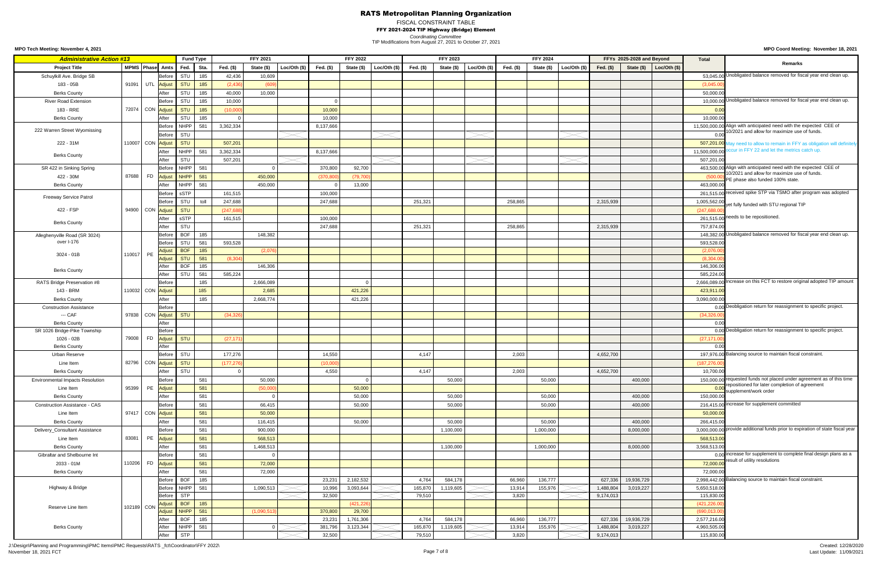# FISCAL CONSTRAINT TABLE

FFY 2021-2024 TIP Highway (Bridge) Element

**MPO Coord Meeting: November 18, 2021**

*Coordinating Committee* TIP Modifications from August 27, 2021 to October 27, 2021

**MPO Tech Meeting: November 4, 2021**

J:\Design\Planning and Programming\PMC Items\PMC Requests\RATS \_fct\Coordinator\FFY 2022\ November 18, 2021 FCT Page 7 of 8

| <b>Administrative Action #13</b>          |        |            |                                 |            | <b>Fund Type</b> |           | <b>FFY 2021</b> |          |            | <b>FFY 2022</b> |             |           | <b>FFY 2023</b> |                |           | <b>FFY 2024</b> |                |            | FFYs 2025-2028 and Beyond |             | Total               |                                                                                                                                    |
|-------------------------------------------|--------|------------|---------------------------------|------------|------------------|-----------|-----------------|----------|------------|-----------------|-------------|-----------|-----------------|----------------|-----------|-----------------|----------------|------------|---------------------------|-------------|---------------------|------------------------------------------------------------------------------------------------------------------------------------|
| <b>Project Title</b>                      |        |            | MPMS Phase Amts                 | Fed.       | Sta.             | Fed. (\$) | State (\$)      | Loc/Oh ( | Fed. (\$)  | State (\$)      | Loc/Oh (\$) | Fed. (\$) | State (\$)      | Loc/Oth $(\$)$ | Fed. (\$) | State (\$)      | Loc/Oth $(\$)$ | Fed. $($)$ | State (\$)                | Loc/Oh (\$) |                     | <b>Remarks</b>                                                                                                                     |
| Schuylkill Ave. Bridge SB                 |        |            | Before                          | STU        | 185              | 42,436    | 10,609          |          |            |                 |             |           |                 |                |           |                 |                |            |                           |             |                     | 53,045.00 Unobligated balance removed for fiscal year end clean up.                                                                |
| 183 - 05B                                 | 91091  |            | UTL Adjust                      | <b>STU</b> | 185              | (2, 436)  | (609)           |          |            |                 |             |           |                 |                |           |                 |                |            |                           |             | (3,045.00)          |                                                                                                                                    |
| <b>Berks County</b>                       |        |            | After                           | STU        | 185              | 40,000    | 10,000          |          |            |                 |             |           |                 |                |           |                 |                |            |                           |             | 50,000.00           |                                                                                                                                    |
| <b>River Road Extension</b>               |        |            | <b>Before</b>                   | STU        | 185              | 10,000    |                 |          |            |                 |             |           |                 |                |           |                 |                |            |                           |             |                     | 10,000.00 Unobligated balance removed for fiscal year end clean up.                                                                |
| 183 - RRE                                 |        |            | 72074 CON Adjust                | <b>STU</b> | 185              | (10,000)  |                 |          | 10,000     |                 |             |           |                 |                |           |                 |                |            |                           |             | 0.00                |                                                                                                                                    |
|                                           |        |            |                                 |            |                  |           |                 |          |            |                 |             |           |                 |                |           |                 |                |            |                           |             |                     |                                                                                                                                    |
| <b>Berks County</b>                       |        |            | After                           | STU        | 185              |           |                 |          | 10,000     |                 |             |           |                 |                |           |                 |                |            |                           |             | 10,000.00           | 11,500,000.00 Align with anticipated need with the expected CEE of                                                                 |
| 222 Warren Street Wyomissing              |        |            | <b>Before</b>                   | NHPP       | 581              | 3,362,334 |                 |          | 8,137,666  |                 |             |           |                 |                |           |                 |                |            |                           |             |                     | 10/2021 and allow for maximize use of funds.                                                                                       |
|                                           |        |            | Before                          | STU        |                  |           |                 |          |            |                 |             |           |                 |                |           |                 |                |            |                           |             | 0.00                |                                                                                                                                    |
| 222 - 31M                                 |        |            | 110007 CON Adjust               | <b>STU</b> |                  | 507,201   |                 |          |            |                 |             |           |                 |                |           |                 |                |            |                           |             |                     | 507,201.00 May need to allow to remain in FFY as obligation will definitely                                                        |
| <b>Berks County</b>                       |        |            | After                           | NHPP       | 581              | 3,362,334 |                 |          | 8,137,666  |                 |             |           |                 |                |           |                 |                |            |                           |             |                     | 11,500,000.00 occur in FFY 22 and let the metrics catch up.                                                                        |
|                                           |        |            | After                           | STU        |                  | 507,201   |                 |          |            |                 |             |           |                 |                |           |                 |                |            |                           |             | 507,201.00          |                                                                                                                                    |
| SR 422 in Sinking Spring                  |        |            | <b>Before</b>                   | NHPP       | 581              |           |                 |          | 370,800    | 92,700          |             |           |                 |                |           |                 |                |            |                           |             |                     | 463,500.00 Align with anticipated need with the expected CEE of<br>10/2021 and allow for maximize use of funds.                    |
| 422 - 30M                                 | 87688  |            | FD <mark>Adjust</mark>          | NHPP       | 581              |           | 450,000         |          | (370, 800) | (79, 700)       |             |           |                 |                |           |                 |                |            |                           |             | (500.               | PE phase also funded 100% state.                                                                                                   |
| <b>Berks County</b>                       |        |            | After                           | NHPP       | 581              |           | 450,000         |          |            | 13,000          |             |           |                 |                |           |                 |                |            |                           |             | 463,000.00          |                                                                                                                                    |
|                                           |        |            | <b>Before</b>                   | sSTP       |                  | 161,515   |                 |          | 100,000    |                 |             |           |                 |                |           |                 |                |            |                           |             |                     | 261,515.00 received spike STP via TSMO after program was adopted                                                                   |
| <b>Freeway Service Patrol</b>             |        |            | Before                          | STU        | toll             | 247,688   |                 |          | 247,688    |                 |             | 251,321   |                 |                | 258,865   |                 |                | 2,315,939  |                           |             | 1,005,562.00        | yet fully funded with STU regional TIP                                                                                             |
| 422 - FSP                                 |        |            | 94900 CON Adjust                | <b>STU</b> |                  | (247, 68) |                 |          |            |                 |             |           |                 |                |           |                 |                |            |                           |             | (247, 688.0)        |                                                                                                                                    |
|                                           |        |            | After                           | sSTP       |                  | 161,515   |                 |          | 100,000    |                 |             |           |                 |                |           |                 |                |            |                           |             |                     | 261,515.00 needs to be repositioned.                                                                                               |
| <b>Berks County</b>                       |        |            | After                           | STU        |                  |           |                 |          | 247,688    |                 |             | 251,321   |                 |                | 258,865   |                 |                | 2,315,939  |                           |             | 757,874.00          |                                                                                                                                    |
| Alleghenyville Road (SR 3024)             |        |            | Before                          | <b>BOF</b> | 185              |           | 148,382         |          |            |                 |             |           |                 |                |           |                 |                |            |                           |             |                     | 148,382.00 Unobligated balance removed for fiscal year end clean up.                                                               |
| over I-176                                |        |            | Before                          | STU        | 581              | 593,528   |                 |          |            |                 |             |           |                 |                |           |                 |                |            |                           |             | 593,528.00          |                                                                                                                                    |
|                                           |        |            | Adjust                          | <b>BOF</b> | 185              |           | (2,076)         |          |            |                 |             |           |                 |                |           |                 |                |            |                           |             | (2,076.00)          |                                                                                                                                    |
| 3024 - 01B                                | 110017 | <b>PE</b>  | Adjust                          | <b>STU</b> | 581              | (8, 304)  |                 |          |            |                 |             |           |                 |                |           |                 |                |            |                           |             | (8,304.00)          |                                                                                                                                    |
|                                           |        |            | After                           | <b>BOF</b> | 185              |           | 146,306         |          |            |                 |             |           |                 |                |           |                 |                |            |                           |             | 146,306.00          |                                                                                                                                    |
| <b>Berks County</b>                       |        |            | After                           | <b>STU</b> | 581              | 585,224   |                 |          |            |                 |             |           |                 |                |           |                 |                |            |                           |             | 585,224.00          |                                                                                                                                    |
| RATS Bridge Preservation #8               |        |            | Before                          |            | 185              |           | 2,666,089       |          |            |                 |             |           |                 |                |           |                 |                |            |                           |             |                     | 2,666,089.00 Increase on this FCT to restore original adopted TIP amount                                                           |
| 143 - BRM                                 |        |            | 110032 CON Adjust               |            | 185              |           | 2,685           |          |            | 421,226         |             |           |                 |                |           |                 |                |            |                           |             | 423,911.00          |                                                                                                                                    |
|                                           |        |            |                                 |            |                  |           |                 |          |            |                 |             |           |                 |                |           |                 |                |            |                           |             |                     |                                                                                                                                    |
| <b>Berks County</b>                       |        |            | After                           |            | 185              |           | 2,668,774       |          |            | 421,226         |             |           |                 |                |           |                 |                |            |                           |             | 3,090,000.00        | 0.00 Deobligation return for reassignment to specific project.                                                                     |
| <b>Construction Assistance</b><br>--- CAF |        |            | Before                          | STU        |                  |           |                 |          |            |                 |             |           |                 |                |           |                 |                |            |                           |             |                     |                                                                                                                                    |
|                                           |        |            | 97838 CON Adjust                |            |                  | (34, 326) |                 |          |            |                 |             |           |                 |                |           |                 |                |            |                           |             | (34, 326.00)        |                                                                                                                                    |
| <b>Berks County</b>                       |        |            | After<br><b>Before</b>          |            |                  |           |                 |          |            |                 |             |           |                 |                |           |                 |                |            |                           |             | 0.00                | 0.00 Deobligation return for reassignment to specific project.                                                                     |
| SR 1026 Bridge-Pike Township              | 79008  |            |                                 | <b>STU</b> |                  |           |                 |          |            |                 |             |           |                 |                |           |                 |                |            |                           |             |                     |                                                                                                                                    |
| 1026 - 02B                                |        |            | FD <mark>Adjust</mark><br>After |            |                  | (27, 17)  |                 |          |            |                 |             |           |                 |                |           |                 |                |            |                           |             | (27, 171.0)<br>0.00 |                                                                                                                                    |
| <b>Berks County</b>                       |        |            | <b>Before</b>                   | STU        |                  | 177,276   |                 |          | 14,550     |                 |             |           |                 |                | 2,003     |                 |                | 4,652,700  |                           |             |                     | 197,976.00 Balancing source to maintain fiscal constraint.                                                                         |
| <b>Urban Reserve</b>                      |        |            |                                 |            |                  |           |                 |          |            |                 |             | 4,147     |                 |                |           |                 |                |            |                           |             |                     |                                                                                                                                    |
| Line Item                                 |        |            | 82796 CON Adjust                | <b>STU</b> |                  | (177, 27) |                 |          | (10,000)   |                 |             |           |                 |                |           |                 |                |            |                           |             | (187, 276.00)       |                                                                                                                                    |
| <b>Berks County</b>                       |        |            | After                           | STU        |                  |           |                 |          | 4,550      |                 |             | 4,147     |                 |                | 2,003     |                 |                | 4,652,700  |                           |             | 10,700.00           |                                                                                                                                    |
| <b>Environmental Impacts Resolution</b>   |        |            | Before                          |            | 581              |           | 50,000          |          |            |                 |             |           | 50,000          |                |           | 50,000          |                |            | 400,000                   |             |                     | 150,000.00 requested funds not placed under agreement as of this time<br><b>COO</b> repositioned for later completion of agreement |
| Line Item                                 | 95399  | PE         | Adjust                          |            | 581              |           | (50,000)        |          |            | 50,000          |             |           |                 |                |           |                 |                |            |                           |             |                     | supplement/work order                                                                                                              |
| <b>Berks County</b>                       |        |            | After                           |            | 581              |           |                 |          |            | 50,000          |             |           | 50,000          |                |           | 50,000          |                |            | 400,000                   |             | 150,000.00          |                                                                                                                                    |
| <b>Construction Assistance - CAS</b>      |        |            | <b>Before</b>                   |            | 581              |           | 66,415          |          |            | 50,000          |             |           | 50,000          |                |           | 50,000          |                |            | 400,000                   |             |                     | 216,415.00 increase for supplement committed                                                                                       |
| Line Item                                 |        |            | 97417 CON Adjust                |            | 581              |           | 50,000          |          |            |                 |             |           |                 |                |           |                 |                |            |                           |             | 50,000.00           |                                                                                                                                    |
| <b>Berks County</b>                       |        |            | After                           |            | 581              |           | 116,415         |          |            | 50,000          |             |           | 50,000          |                |           | 50,000          |                |            | 400,000                   |             | 266,415.00          |                                                                                                                                    |
| Delivery_Consultant Assistance            |        |            | <b>Before</b>                   |            | 581              |           | 900,000         |          |            |                 |             |           | 1,100,000       |                |           | 1,000,000       |                |            | 8,000,000                 |             |                     | 3,000,000.00 provide additional funds prior to expiration of state fiscal year                                                     |
| Line Item                                 | 83081  | PE         | <b>Adjust</b>                   |            | 581              |           | 568,513         |          |            |                 |             |           |                 |                |           |                 |                |            |                           |             | 568,513.00          |                                                                                                                                    |
| <b>Berks County</b>                       |        |            | After                           |            | 581              |           | 1,468,513       |          |            |                 |             |           | 1,100,000       |                |           | 1,000,000       |                |            | 8,000,000                 |             | 3,568,513.00        |                                                                                                                                    |
| Gibraltar and Shelbourne Int              |        |            | Before                          |            | 581              |           |                 |          |            |                 |             |           |                 |                |           |                 |                |            |                           |             |                     | 0.00 increase for supplement to complete final design plans as a                                                                   |
| 2033 - 01M                                | 110206 | <b>FD</b>  | <b>Adjust</b>                   |            | 581              |           | 72,000          |          |            |                 |             |           |                 |                |           |                 |                |            |                           |             | 72,000.00           | result of utility resolutions                                                                                                      |
| <b>Berks County</b>                       |        |            | After                           |            | 581              |           | 72,000          |          |            |                 |             |           |                 |                |           |                 |                |            |                           |             | 72,000.00           |                                                                                                                                    |
|                                           |        |            | <b>Before</b>                   | <b>BOF</b> | 185              |           |                 |          | 23,231     | 2,182,532       |             | 4,764     | 584,178         |                | 66,960    | 136,777         |                |            | 627,336 19,936,729        |             |                     | 2,998,442.00 Balancing source to maintain fiscal constraint.                                                                       |
| Highway & Bridge                          |        |            | <b>Before</b>                   | NHPP       | 581              |           | 1,090,513       |          | 10,996     | 3,093,644       |             | 165,870   | 1,119,605       |                | 13,914    | 155,976         |                | 1,488,804  | 3,019,227                 |             | 5,650,518.00        |                                                                                                                                    |
|                                           |        |            | Before                          | <b>STP</b> |                  |           |                 |          | 32,500     |                 |             | 79,510    |                 |                | 3,820     |                 |                | 9,174,013  |                           |             | 115,830.00          |                                                                                                                                    |
|                                           |        |            | Adjust                          | <b>BOF</b> | 185              |           |                 |          |            | (421, 226)      |             |           |                 |                |           |                 |                |            |                           |             | (421, 226.00)       |                                                                                                                                    |
| Reserve Line Item                         |        | 102189 CON | Adjust                          | NHPP       | 581              |           | (1,090,513)     |          | 370,800    | 29,700          |             |           |                 |                |           |                 |                |            |                           |             | (690, 013.00)       |                                                                                                                                    |
|                                           |        |            | After                           | <b>BOF</b> | 185              |           |                 |          | 23,231     | 1,761,306       |             | 4,764     | 584,178         |                | 66,960    | 136,777         |                | 627,336    | 19,936,729                |             | 2,577,216.00        |                                                                                                                                    |
| <b>Berks County</b>                       |        |            | After                           | NHPP       | 581              |           |                 |          | 381,796    | 3,123,344       |             | 165,870   | 1,119,605       |                | 13,914    | 155,976         |                | 1,488,804  | 3,019,227                 |             | 4,960,505.00        |                                                                                                                                    |
|                                           |        |            | After                           | <b>STP</b> |                  |           |                 |          | 32,500     |                 |             | 79,510    |                 |                | 3,820     |                 |                | 9,174,013  |                           |             | 115,830.00          |                                                                                                                                    |